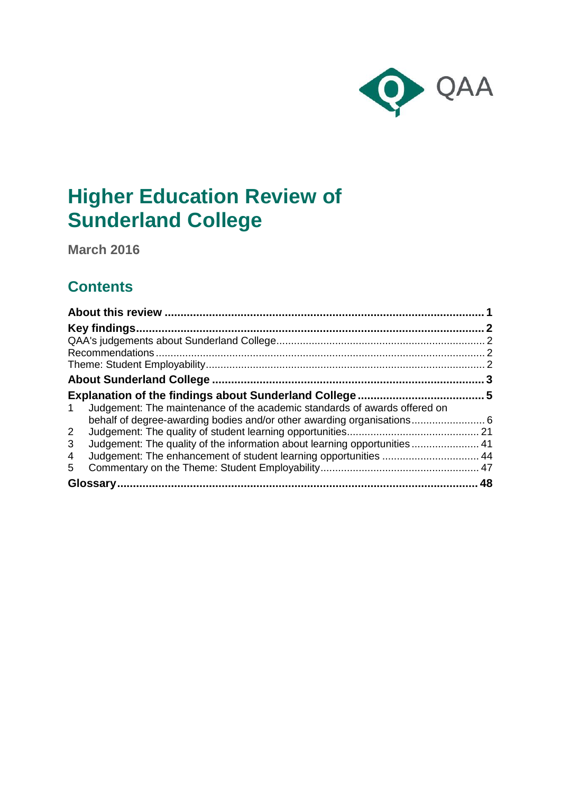

# **Higher Education Review of Sunderland College**

**March 2016**

## **Contents**

| Judgement: The maintenance of the academic standards of awards offered on<br>1  |  |
|---------------------------------------------------------------------------------|--|
|                                                                                 |  |
| 2 <sup>1</sup>                                                                  |  |
| 3<br>Judgement: The quality of the information about learning opportunities  41 |  |
| 4                                                                               |  |
| 5.                                                                              |  |
|                                                                                 |  |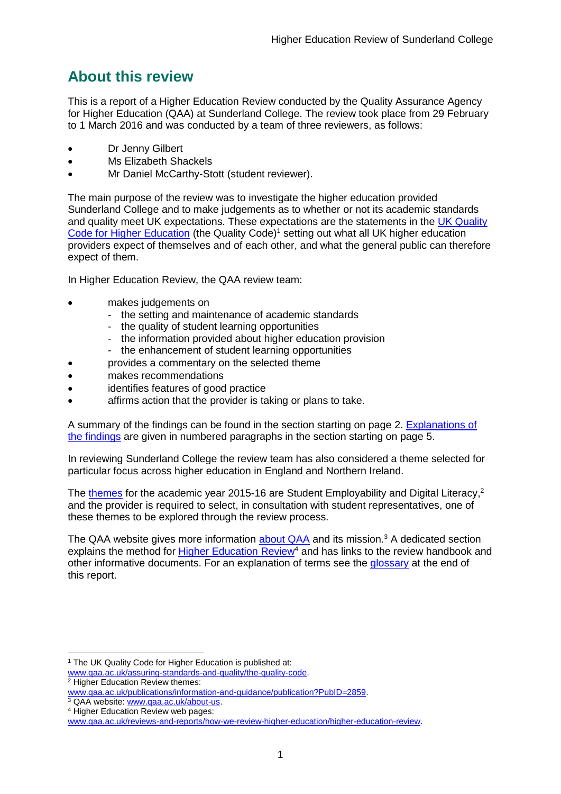## <span id="page-1-0"></span>**About this review**

This is a report of a Higher Education Review conducted by the Quality Assurance Agency for Higher Education (QAA) at Sunderland College. The review took place from 29 February to 1 March 2016 and was conducted by a team of three reviewers, as follows:

- Dr Jenny Gilbert
- Ms Elizabeth Shackels
- Mr Daniel McCarthy-Stott (student reviewer).

The main purpose of the review was to investigate the higher education provided Sunderland College and to make judgements as to whether or not its academic standards and quality meet UK expectations. These expectations are the statements in the UK Quality [Code for Higher Education](http://www.qaa.ac.uk/assuring-standards-and-quality/the-quality-code) (the Quality Code)<sup>1</sup> setting out what all UK higher education [providers](http://newlive.qaa.ac.uk/AboutUs/glossary/Pages/glossary-h.aspx#h2.1) expect of themselves and of each other, and what the general public can therefore expect of them.

In Higher Education Review, the QAA review team:

- makes judgements on
	- the setting and maintenance of academic standards
	- the quality of student learning opportunities
	- the information provided about higher education provision
	- the enhancement of student learning opportunities
	- provides a commentary on the selected theme
- makes recommendations
- identifies features of good practice
- affirms action that the provider is taking or plans to take.

A summary of the findings can be found in the section starting on page 2. [Explanations of](#page-5-0)  [the findings](#page-5-0) are given in numbered paragraphs in the section starting on page 5.

In reviewing Sunderland College the review team has also considered a theme selected for particular focus across higher education in England and Northern Ireland.

The [themes](http://www.qaa.ac.uk/publications/information-and-guidance/publication?PubID=106) for the academic year 2015-16 are Student Employability and Digital Literacy,<sup>2</sup> and the provider is required to select, in consultation with student representatives, one of these themes to be explored through the review process.

The QAA website gives more information [about QAA](http://www.qaa.ac.uk/aboutus/pages/default.aspx) and its mission.<sup>3</sup> A dedicated section explains the method for **Higher Education Review<sup>4</sup>** and has links to the review handbook and other informative documents. For an explanation of terms see the [glossary](#page-47-1) at the end of this report.

<sup>-</sup><sup>1</sup> The UK Quality Code for Higher Education is published at:

[www.qaa.ac.uk/assuring-standards-and-quality/the-quality-code.](http://www.qaa.ac.uk/assuring-standards-and-quality/the-quality-code) <sup>2</sup> Higher Education Review themes:

[www.qaa.ac.uk/publications/information-and-guidance/publication?PubID=2859.](http://www.qaa.ac.uk/publications/information-and-guidance/publication?PubID=2859)

<sup>&</sup>lt;sup>3</sup> QAA website: [www.qaa.ac.uk/about-us.](http://www.qaa.ac.uk/about-us)

<sup>4</sup> Higher Education Review web pages:

[www.qaa.ac.uk/reviews-and-reports/how-we-review-higher-education/higher-education-review.](http://www.qaa.ac.uk/reviews-and-reports/how-we-review-higher-education/higher-education-review)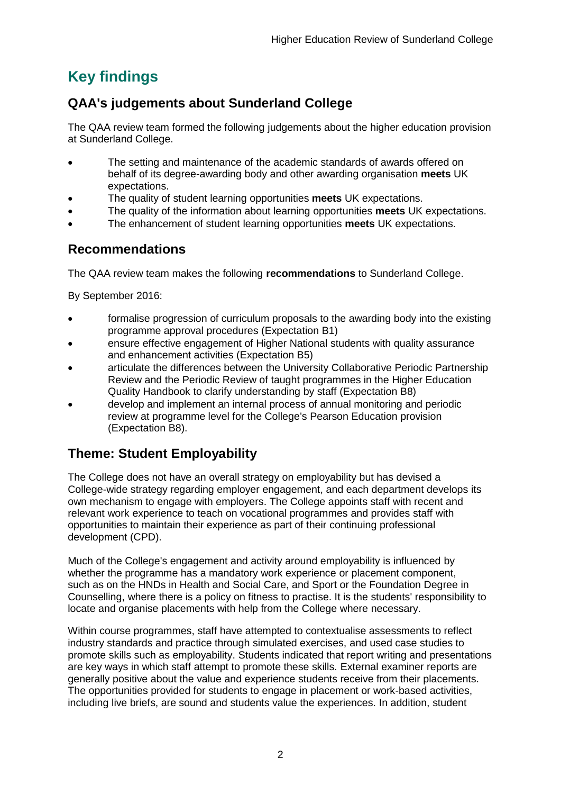## <span id="page-2-0"></span>**Key findings**

## <span id="page-2-1"></span>**QAA's judgements about Sunderland College**

The QAA review team formed the following judgements about the higher education provision at Sunderland College.

- The setting and maintenance of the academic standards of awards offered on behalf of its degree-awarding body and other awarding organisation **meets** UK expectations.
- The quality of student learning opportunities **meets** UK expectations.
- The quality of the information about learning opportunities **meets** UK expectations.
- The enhancement of student learning opportunities **meets** UK expectations.

## <span id="page-2-2"></span>**Recommendations**

The QAA review team makes the following **recommendations** to Sunderland College.

By September 2016:

- formalise progression of curriculum proposals to the awarding body into the existing programme approval procedures (Expectation B1)
- ensure effective engagement of Higher National students with quality assurance and enhancement activities (Expectation B5)
- articulate the differences between the University Collaborative Periodic Partnership Review and the Periodic Review of taught programmes in the Higher Education Quality Handbook to clarify understanding by staff (Expectation B8)
- develop and implement an internal process of annual monitoring and periodic review at programme level for the College's Pearson Education provision (Expectation B8).

## <span id="page-2-3"></span>**Theme: Student Employability**

The College does not have an overall strategy on employability but has devised a College-wide strategy regarding employer engagement, and each department develops its own mechanism to engage with employers. The College appoints staff with recent and relevant work experience to teach on vocational programmes and provides staff with opportunities to maintain their experience as part of their continuing professional development (CPD).

Much of the College's engagement and activity around employability is influenced by whether the programme has a mandatory work experience or placement component, such as on the HNDs in Health and Social Care, and Sport or the Foundation Degree in Counselling, where there is a policy on fitness to practise. It is the students' responsibility to locate and organise placements with help from the College where necessary.

Within course programmes, staff have attempted to contextualise assessments to reflect industry standards and practice through simulated exercises, and used case studies to promote skills such as employability. Students indicated that report writing and presentations are key ways in which staff attempt to promote these skills. External examiner reports are generally positive about the value and experience students receive from their placements. The opportunities provided for students to engage in placement or work-based activities, including live briefs, are sound and students value the experiences. In addition, student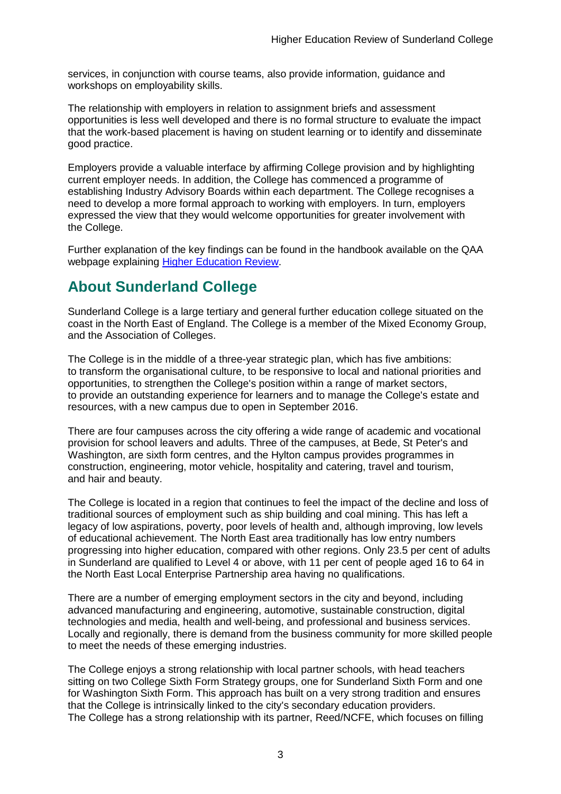services, in conjunction with course teams, also provide information, guidance and workshops on employability skills.

The relationship with employers in relation to assignment briefs and assessment opportunities is less well developed and there is no formal structure to evaluate the impact that the work-based placement is having on student learning or to identify and disseminate good practice.

Employers provide a valuable interface by affirming College provision and by highlighting current employer needs. In addition, the College has commenced a programme of establishing Industry Advisory Boards within each department. The College recognises a need to develop a more formal approach to working with employers. In turn, employers expressed the view that they would welcome opportunities for greater involvement with the College.

Further explanation of the key findings can be found in the handbook available on the QAA webpage explaining [Higher Education Review.](http://www.qaa.ac.uk/reviews-and-reports/how-we-review-higher-education/higher-education-review)

## <span id="page-3-0"></span>**About Sunderland College**

Sunderland College is a large tertiary and general further education college situated on the coast in the North East of England. The College is a member of the Mixed Economy Group, and the Association of Colleges.

The College is in the middle of a three-year strategic plan, which has five ambitions: to transform the organisational culture, to be responsive to local and national priorities and opportunities, to strengthen the College's position within a range of market sectors, to provide an outstanding experience for learners and to manage the College's estate and resources, with a new campus due to open in September 2016.

There are four campuses across the city offering a wide range of academic and vocational provision for school leavers and adults. Three of the campuses, at Bede, St Peter's and Washington, are sixth form centres, and the Hylton campus provides programmes in construction, engineering, motor vehicle, hospitality and catering, travel and tourism, and hair and beauty.

The College is located in a region that continues to feel the impact of the decline and loss of traditional sources of employment such as ship building and coal mining. This has left a legacy of low aspirations, poverty, poor levels of health and, although improving, low levels of educational achievement. The North East area traditionally has low entry numbers progressing into higher education, compared with other regions. Only 23.5 per cent of adults in Sunderland are qualified to Level 4 or above, with 11 per cent of people aged 16 to 64 in the North East Local Enterprise Partnership area having no qualifications.

There are a number of emerging employment sectors in the city and beyond, including advanced manufacturing and engineering, automotive, sustainable construction, digital technologies and media, health and well-being, and professional and business services. Locally and regionally, there is demand from the business community for more skilled people to meet the needs of these emerging industries.

The College enjoys a strong relationship with local partner schools, with head teachers sitting on two College Sixth Form Strategy groups, one for Sunderland Sixth Form and one for Washington Sixth Form. This approach has built on a very strong tradition and ensures that the College is intrinsically linked to the city's secondary education providers. The College has a strong relationship with its partner, Reed/NCFE, which focuses on filling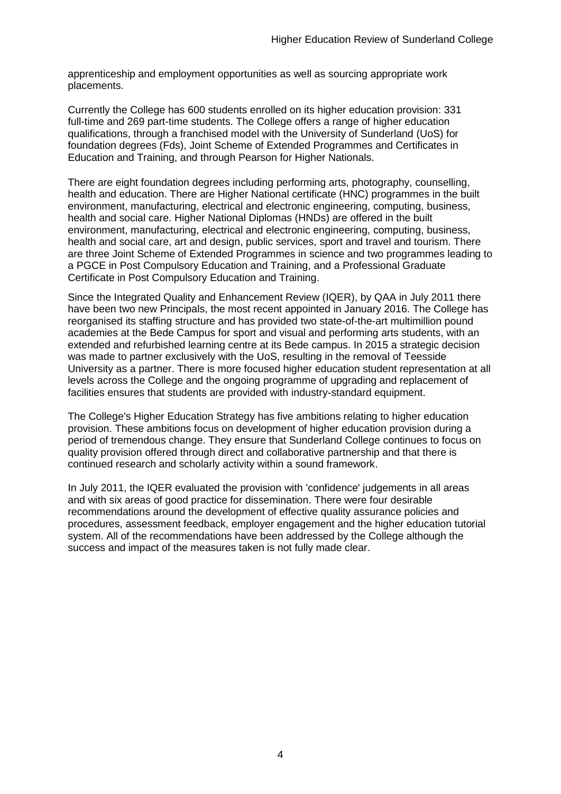apprenticeship and employment opportunities as well as sourcing appropriate work placements.

Currently the College has 600 students enrolled on its higher education provision: 331 full-time and 269 part-time students. The College offers a range of higher education qualifications, through a franchised model with the University of Sunderland (UoS) for foundation degrees (Fds), Joint Scheme of Extended Programmes and Certificates in Education and Training, and through Pearson for Higher Nationals.

There are eight foundation degrees including performing arts, photography, counselling, health and education. There are Higher National certificate (HNC) programmes in the built environment, manufacturing, electrical and electronic engineering, computing, business, health and social care. Higher National Diplomas (HNDs) are offered in the built environment, manufacturing, electrical and electronic engineering, computing, business, health and social care, art and design, public services, sport and travel and tourism. There are three Joint Scheme of Extended Programmes in science and two programmes leading to a PGCE in Post Compulsory Education and Training, and a Professional Graduate Certificate in Post Compulsory Education and Training.

Since the Integrated Quality and Enhancement Review (IQER), by QAA in July 2011 there have been two new Principals, the most recent appointed in January 2016. The College has reorganised its staffing structure and has provided two state-of-the-art multimillion pound academies at the Bede Campus for sport and visual and performing arts students, with an extended and refurbished learning centre at its Bede campus. In 2015 a strategic decision was made to partner exclusively with the UoS, resulting in the removal of Teesside University as a partner. There is more focused higher education student representation at all levels across the College and the ongoing programme of upgrading and replacement of facilities ensures that students are provided with industry-standard equipment.

The College's Higher Education Strategy has five ambitions relating to higher education provision. These ambitions focus on development of higher education provision during a period of tremendous change. They ensure that Sunderland College continues to focus on quality provision offered through direct and collaborative partnership and that there is continued research and scholarly activity within a sound framework.

In July 2011, the IQER evaluated the provision with 'confidence' judgements in all areas and with six areas of good practice for dissemination. There were four desirable recommendations around the development of effective quality assurance policies and procedures, assessment feedback, employer engagement and the higher education tutorial system. All of the recommendations have been addressed by the College although the success and impact of the measures taken is not fully made clear.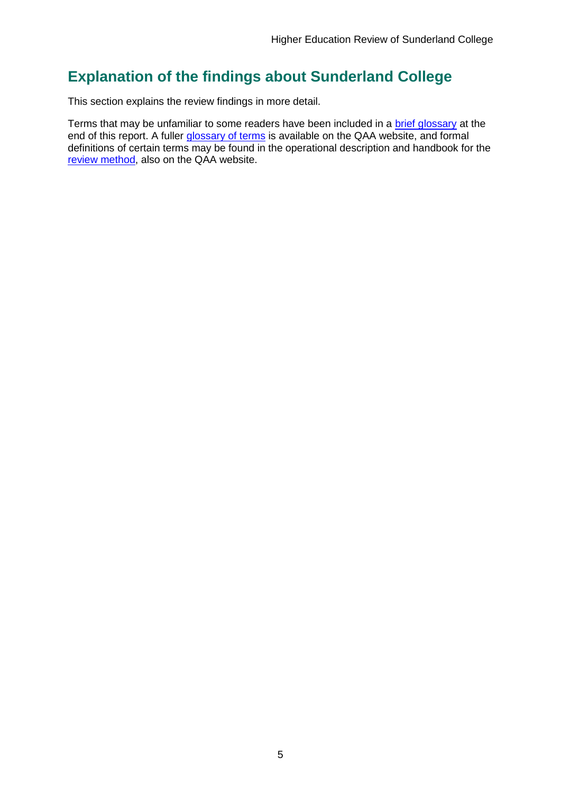## <span id="page-5-0"></span>**Explanation of the findings about Sunderland College**

This section explains the review findings in more detail.

Terms that may be unfamiliar to some readers have been included in a [brief glossary](#page-47-1) at the end of this report. A fuller [glossary of terms](http://www.qaa.ac.uk/Pages/GlossaryEN.aspx) is available on the QAA website, and formal definitions of certain terms may be found in the operational description and handbook for the [review method,](http://www.qaa.ac.uk/reviews-and-reports/how-we-review-higher-education/higher-education-review) also on the QAA website.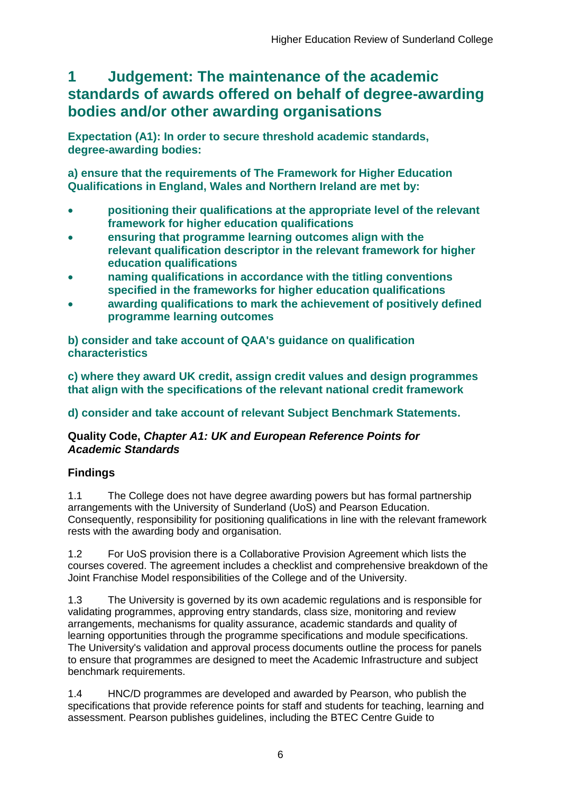## <span id="page-6-0"></span>**1 Judgement: The maintenance of the academic standards of awards offered on behalf of degree-awarding bodies and/or other awarding organisations**

**Expectation (A1): In order to secure threshold academic standards, degree-awarding bodies:** 

**a) ensure that the requirements of The Framework for Higher Education Qualifications in England, Wales and Northern Ireland are met by:**

- **positioning their qualifications at the appropriate level of the relevant framework for higher education qualifications**
- **ensuring that programme learning outcomes align with the relevant qualification descriptor in the relevant framework for higher education qualifications**
- **naming qualifications in accordance with the titling conventions specified in the frameworks for higher education qualifications**
- **awarding qualifications to mark the achievement of positively defined programme learning outcomes**

**b) consider and take account of QAA's guidance on qualification characteristics** 

**c) where they award UK credit, assign credit values and design programmes that align with the specifications of the relevant national credit framework** 

### **d) consider and take account of relevant Subject Benchmark Statements.**

### **Quality Code,** *Chapter A1: UK and European Reference Points for Academic Standards*

## **Findings**

1.1 The College does not have degree awarding powers but has formal partnership arrangements with the University of Sunderland (UoS) and Pearson Education. Consequently, responsibility for positioning qualifications in line with the relevant framework rests with the awarding body and organisation.

1.2 For UoS provision there is a Collaborative Provision Agreement which lists the courses covered. The agreement includes a checklist and comprehensive breakdown of the Joint Franchise Model responsibilities of the College and of the University.

1.3 The University is governed by its own academic regulations and is responsible for validating programmes, approving entry standards, class size, monitoring and review arrangements, mechanisms for quality assurance, academic standards and quality of learning opportunities through the programme specifications and module specifications. The University's validation and approval process documents outline the process for panels to ensure that programmes are designed to meet the Academic Infrastructure and subject benchmark requirements.

1.4 HNC/D programmes are developed and awarded by Pearson, who publish the specifications that provide reference points for staff and students for teaching, learning and assessment. Pearson publishes guidelines, including the BTEC Centre Guide to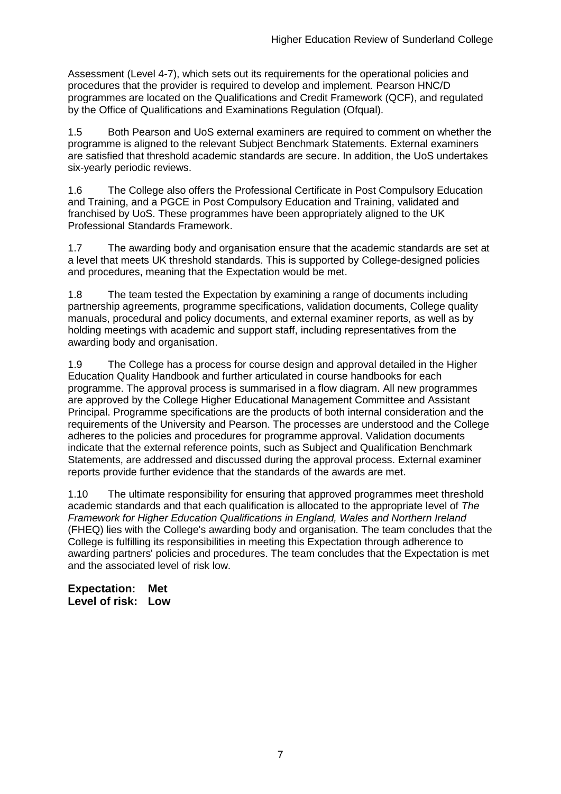Assessment (Level 4-7), which sets out its requirements for the operational policies and procedures that the provider is required to develop and implement. Pearson HNC/D programmes are located on the Qualifications and Credit Framework (QCF), and regulated by the Office of Qualifications and Examinations Regulation (Ofqual).

1.5 Both Pearson and UoS external examiners are required to comment on whether the programme is aligned to the relevant Subject Benchmark Statements. External examiners are satisfied that threshold academic standards are secure. In addition, the UoS undertakes six-yearly periodic reviews.

1.6 The College also offers the Professional Certificate in Post Compulsory Education and Training, and a PGCE in Post Compulsory Education and Training, validated and franchised by UoS. These programmes have been appropriately aligned to the UK Professional Standards Framework.

1.7 The awarding body and organisation ensure that the academic standards are set at a level that meets UK threshold standards. This is supported by College-designed policies and procedures, meaning that the Expectation would be met.

1.8 The team tested the Expectation by examining a range of documents including partnership agreements, programme specifications, validation documents, College quality manuals, procedural and policy documents, and external examiner reports, as well as by holding meetings with academic and support staff, including representatives from the awarding body and organisation.

1.9 The College has a process for course design and approval detailed in the Higher Education Quality Handbook and further articulated in course handbooks for each programme. The approval process is summarised in a flow diagram. All new programmes are approved by the College Higher Educational Management Committee and Assistant Principal. Programme specifications are the products of both internal consideration and the requirements of the University and Pearson. The processes are understood and the College adheres to the policies and procedures for programme approval. Validation documents indicate that the external reference points, such as Subject and Qualification Benchmark Statements, are addressed and discussed during the approval process. External examiner reports provide further evidence that the standards of the awards are met.

1.10 The ultimate responsibility for ensuring that approved programmes meet threshold academic standards and that each qualification is allocated to the appropriate level of *The Framework for Higher Education Qualifications in England, Wales and Northern Ireland*  (FHEQ) lies with the College's awarding body and organisation. The team concludes that the College is fulfilling its responsibilities in meeting this Expectation through adherence to awarding partners' policies and procedures. The team concludes that the Expectation is met and the associated level of risk low.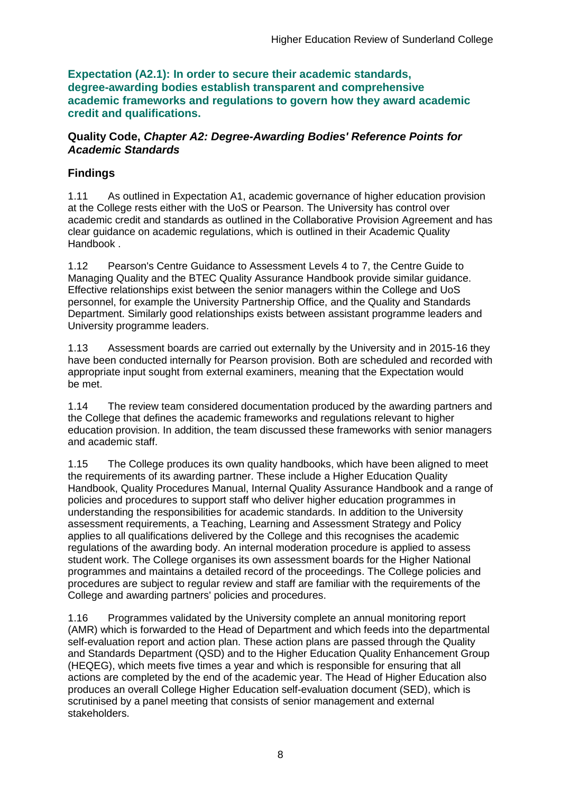**Expectation (A2.1): In order to secure their academic standards, degree-awarding bodies establish transparent and comprehensive academic frameworks and regulations to govern how they award academic credit and qualifications.**

### **Quality Code,** *Chapter A2: Degree-Awarding Bodies' Reference Points for Academic Standards*

## **Findings**

1.11 As outlined in Expectation A1, academic governance of higher education provision at the College rests either with the UoS or Pearson. The University has control over academic credit and standards as outlined in the Collaborative Provision Agreement and has clear guidance on academic regulations, which is outlined in their Academic Quality Handbook .

1.12 Pearson's Centre Guidance to Assessment Levels 4 to 7, the Centre Guide to Managing Quality and the BTEC Quality Assurance Handbook provide similar guidance. Effective relationships exist between the senior managers within the College and UoS personnel, for example the University Partnership Office, and the Quality and Standards Department. Similarly good relationships exists between assistant programme leaders and University programme leaders.

1.13 Assessment boards are carried out externally by the University and in 2015-16 they have been conducted internally for Pearson provision. Both are scheduled and recorded with appropriate input sought from external examiners, meaning that the Expectation would be met.

1.14 The review team considered documentation produced by the awarding partners and the College that defines the academic frameworks and regulations relevant to higher education provision. In addition, the team discussed these frameworks with senior managers and academic staff.

1.15 The College produces its own quality handbooks, which have been aligned to meet the requirements of its awarding partner. These include a Higher Education Quality Handbook, Quality Procedures Manual, Internal Quality Assurance Handbook and a range of policies and procedures to support staff who deliver higher education programmes in understanding the responsibilities for academic standards. In addition to the University assessment requirements, a Teaching, Learning and Assessment Strategy and Policy applies to all qualifications delivered by the College and this recognises the academic regulations of the awarding body. An internal moderation procedure is applied to assess student work. The College organises its own assessment boards for the Higher National programmes and maintains a detailed record of the proceedings. The College policies and procedures are subject to regular review and staff are familiar with the requirements of the College and awarding partners' policies and procedures.

1.16 Programmes validated by the University complete an annual monitoring report (AMR) which is forwarded to the Head of Department and which feeds into the departmental self-evaluation report and action plan. These action plans are passed through the Quality and Standards Department (QSD) and to the Higher Education Quality Enhancement Group (HEQEG), which meets five times a year and which is responsible for ensuring that all actions are completed by the end of the academic year. The Head of Higher Education also produces an overall College Higher Education self-evaluation document (SED), which is scrutinised by a panel meeting that consists of senior management and external stakeholders.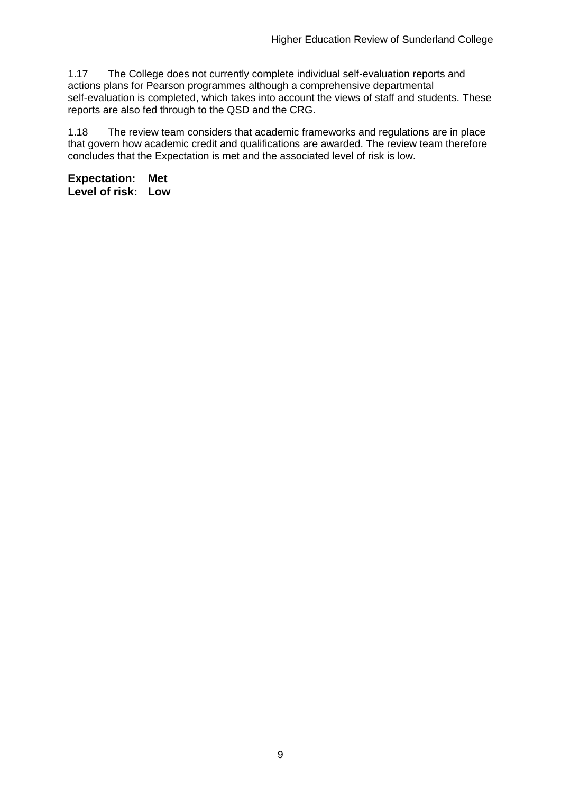1.17 The College does not currently complete individual self-evaluation reports and actions plans for Pearson programmes although a comprehensive departmental self-evaluation is completed, which takes into account the views of staff and students. These reports are also fed through to the QSD and the CRG.

1.18 The review team considers that academic frameworks and regulations are in place that govern how academic credit and qualifications are awarded. The review team therefore concludes that the Expectation is met and the associated level of risk is low.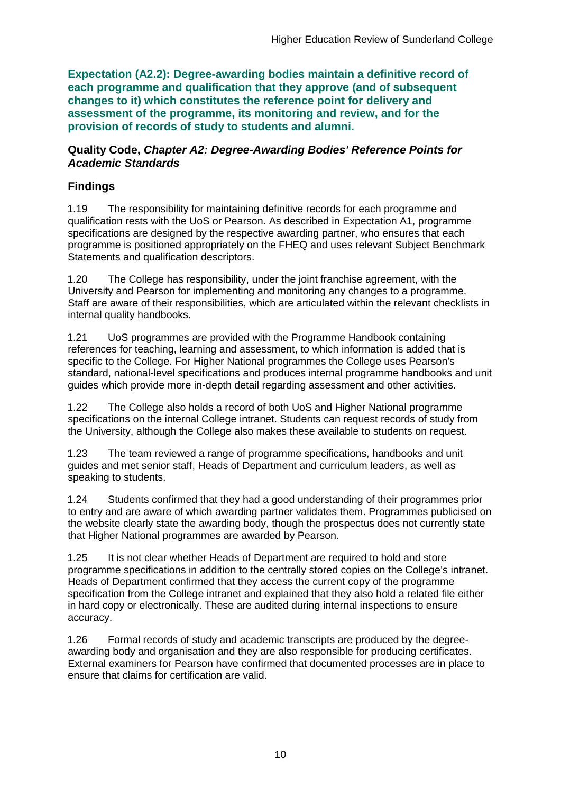**Expectation (A2.2): Degree-awarding bodies maintain a definitive record of each programme and qualification that they approve (and of subsequent changes to it) which constitutes the reference point for delivery and assessment of the programme, its monitoring and review, and for the provision of records of study to students and alumni.** 

#### **Quality Code,** *Chapter A2: Degree-Awarding Bodies' Reference Points for Academic Standards*

## **Findings**

1.19 The responsibility for maintaining definitive records for each programme and qualification rests with the UoS or Pearson. As described in Expectation A1, programme specifications are designed by the respective awarding partner, who ensures that each programme is positioned appropriately on the FHEQ and uses relevant Subject Benchmark Statements and qualification descriptors.

1.20 The College has responsibility, under the joint franchise agreement, with the University and Pearson for implementing and monitoring any changes to a programme. Staff are aware of their responsibilities, which are articulated within the relevant checklists in internal quality handbooks.

1.21 UoS programmes are provided with the Programme Handbook containing references for teaching, learning and assessment, to which information is added that is specific to the College. For Higher National programmes the College uses Pearson's standard, national-level specifications and produces internal programme handbooks and unit guides which provide more in-depth detail regarding assessment and other activities.

1.22 The College also holds a record of both UoS and Higher National programme specifications on the internal College intranet. Students can request records of study from the University, although the College also makes these available to students on request.

1.23 The team reviewed a range of programme specifications, handbooks and unit guides and met senior staff, Heads of Department and curriculum leaders, as well as speaking to students.

1.24 Students confirmed that they had a good understanding of their programmes prior to entry and are aware of which awarding partner validates them. Programmes publicised on the website clearly state the awarding body, though the prospectus does not currently state that Higher National programmes are awarded by Pearson.

1.25 It is not clear whether Heads of Department are required to hold and store programme specifications in addition to the centrally stored copies on the College's intranet. Heads of Department confirmed that they access the current copy of the programme specification from the College intranet and explained that they also hold a related file either in hard copy or electronically. These are audited during internal inspections to ensure accuracy.

1.26 Formal records of study and academic transcripts are produced by the degreeawarding body and organisation and they are also responsible for producing certificates. External examiners for Pearson have confirmed that documented processes are in place to ensure that claims for certification are valid.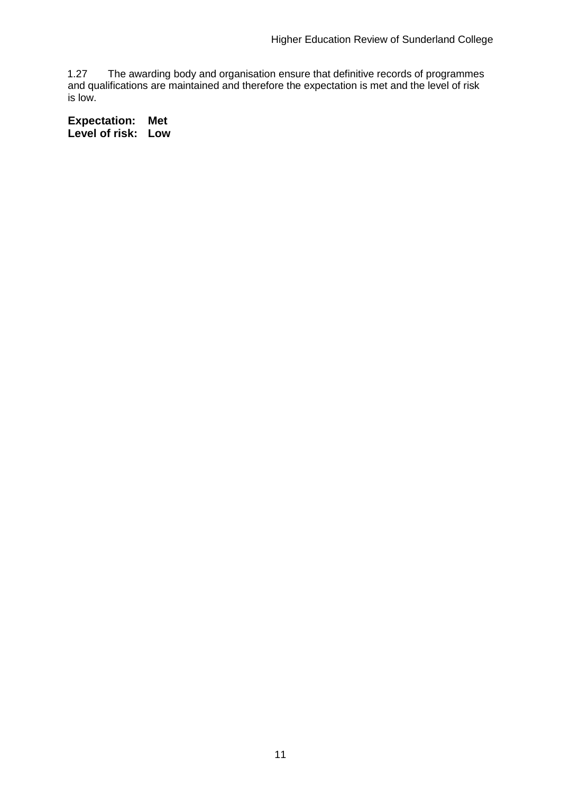1.27 The awarding body and organisation ensure that definitive records of programmes and qualifications are maintained and therefore the expectation is met and the level of risk is low.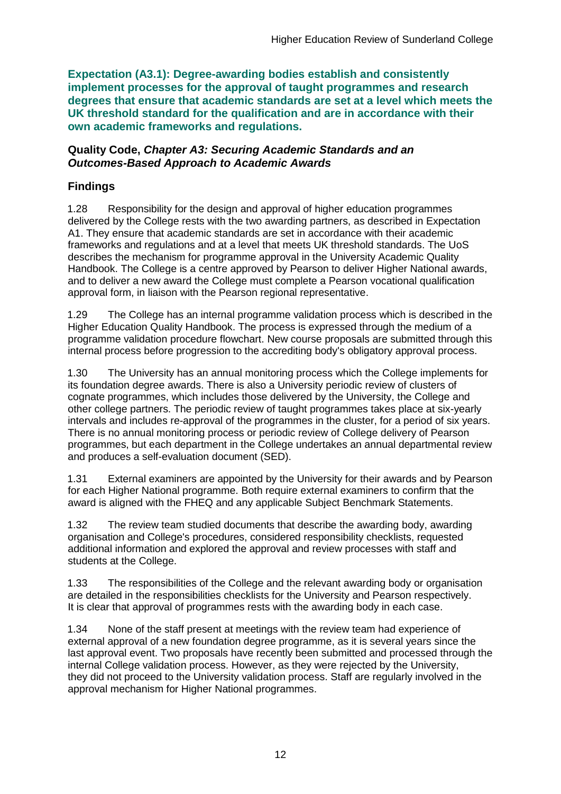**Expectation (A3.1): Degree-awarding bodies establish and consistently implement processes for the approval of taught programmes and research degrees that ensure that academic standards are set at a level which meets the UK threshold standard for the qualification and are in accordance with their own academic frameworks and regulations.**

#### **Quality Code,** *Chapter A3: Securing Academic Standards and an Outcomes-Based Approach to Academic Awards*

## **Findings**

1.28 Responsibility for the design and approval of higher education programmes delivered by the College rests with the two awarding partners, as described in Expectation A1. They ensure that academic standards are set in accordance with their academic frameworks and regulations and at a level that meets UK threshold standards. The UoS describes the mechanism for programme approval in the University Academic Quality Handbook. The College is a centre approved by Pearson to deliver Higher National awards, and to deliver a new award the College must complete a Pearson vocational qualification approval form, in liaison with the Pearson regional representative.

1.29 The College has an internal programme validation process which is described in the Higher Education Quality Handbook. The process is expressed through the medium of a programme validation procedure flowchart. New course proposals are submitted through this internal process before progression to the accrediting body's obligatory approval process.

1.30 The University has an annual monitoring process which the College implements for its foundation degree awards. There is also a University periodic review of clusters of cognate programmes, which includes those delivered by the University, the College and other college partners. The periodic review of taught programmes takes place at six-yearly intervals and includes re-approval of the programmes in the cluster, for a period of six years. There is no annual monitoring process or periodic review of College delivery of Pearson programmes, but each department in the College undertakes an annual departmental review and produces a self-evaluation document (SED).

1.31 External examiners are appointed by the University for their awards and by Pearson for each Higher National programme. Both require external examiners to confirm that the award is aligned with the FHEQ and any applicable Subject Benchmark Statements.

1.32 The review team studied documents that describe the awarding body, awarding organisation and College's procedures, considered responsibility checklists, requested additional information and explored the approval and review processes with staff and students at the College.

1.33 The responsibilities of the College and the relevant awarding body or organisation are detailed in the responsibilities checklists for the University and Pearson respectively. It is clear that approval of programmes rests with the awarding body in each case.

1.34 None of the staff present at meetings with the review team had experience of external approval of a new foundation degree programme, as it is several years since the last approval event. Two proposals have recently been submitted and processed through the internal College validation process. However, as they were rejected by the University, they did not proceed to the University validation process. Staff are regularly involved in the approval mechanism for Higher National programmes.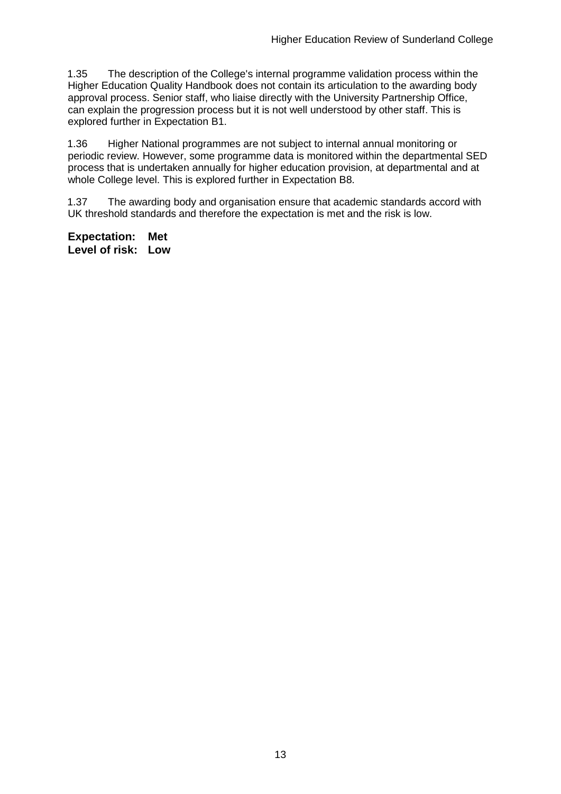1.35 The description of the College's internal programme validation process within the Higher Education Quality Handbook does not contain its articulation to the awarding body approval process. Senior staff, who liaise directly with the University Partnership Office, can explain the progression process but it is not well understood by other staff. This is explored further in Expectation B1.

1.36 Higher National programmes are not subject to internal annual monitoring or periodic review. However, some programme data is monitored within the departmental SED process that is undertaken annually for higher education provision, at departmental and at whole College level. This is explored further in Expectation B8.

1.37 The awarding body and organisation ensure that academic standards accord with UK threshold standards and therefore the expectation is met and the risk is low.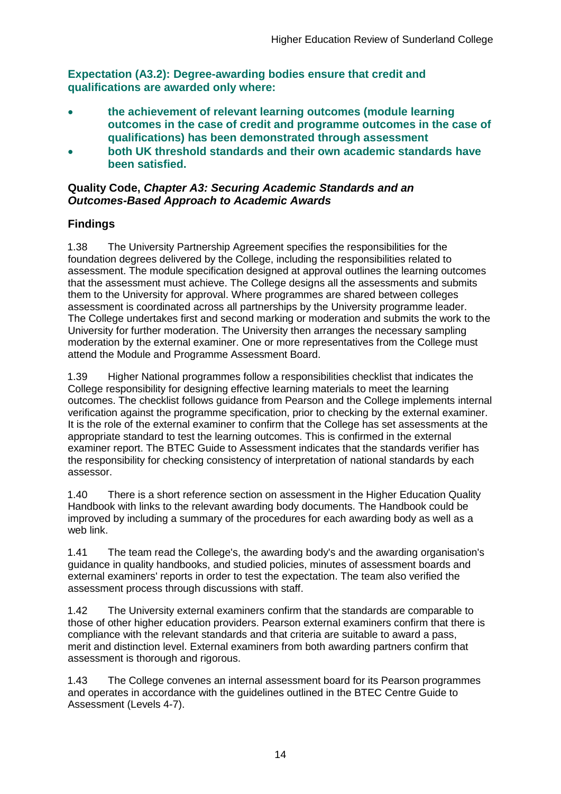**Expectation (A3.2): Degree-awarding bodies ensure that credit and qualifications are awarded only where:** 

- **the achievement of relevant learning outcomes (module learning outcomes in the case of credit and programme outcomes in the case of qualifications) has been demonstrated through assessment**
- **both UK threshold standards and their own academic standards have been satisfied.**

#### **Quality Code,** *Chapter A3: Securing Academic Standards and an Outcomes-Based Approach to Academic Awards*

## **Findings**

1.38 The University Partnership Agreement specifies the responsibilities for the foundation degrees delivered by the College, including the responsibilities related to assessment. The module specification designed at approval outlines the learning outcomes that the assessment must achieve. The College designs all the assessments and submits them to the University for approval. Where programmes are shared between colleges assessment is coordinated across all partnerships by the University programme leader. The College undertakes first and second marking or moderation and submits the work to the University for further moderation. The University then arranges the necessary sampling moderation by the external examiner. One or more representatives from the College must attend the Module and Programme Assessment Board.

1.39 Higher National programmes follow a responsibilities checklist that indicates the College responsibility for designing effective learning materials to meet the learning outcomes. The checklist follows guidance from Pearson and the College implements internal verification against the programme specification, prior to checking by the external examiner. It is the role of the external examiner to confirm that the College has set assessments at the appropriate standard to test the learning outcomes. This is confirmed in the external examiner report. The BTEC Guide to Assessment indicates that the standards verifier has the responsibility for checking consistency of interpretation of national standards by each assessor.

1.40 There is a short reference section on assessment in the Higher Education Quality Handbook with links to the relevant awarding body documents. The Handbook could be improved by including a summary of the procedures for each awarding body as well as a web link.

1.41 The team read the College's, the awarding body's and the awarding organisation's guidance in quality handbooks, and studied policies, minutes of assessment boards and external examiners' reports in order to test the expectation. The team also verified the assessment process through discussions with staff.

1.42 The University external examiners confirm that the standards are comparable to those of other higher education providers. Pearson external examiners confirm that there is compliance with the relevant standards and that criteria are suitable to award a pass, merit and distinction level. External examiners from both awarding partners confirm that assessment is thorough and rigorous.

1.43 The College convenes an internal assessment board for its Pearson programmes and operates in accordance with the guidelines outlined in the BTEC Centre Guide to Assessment (Levels 4-7).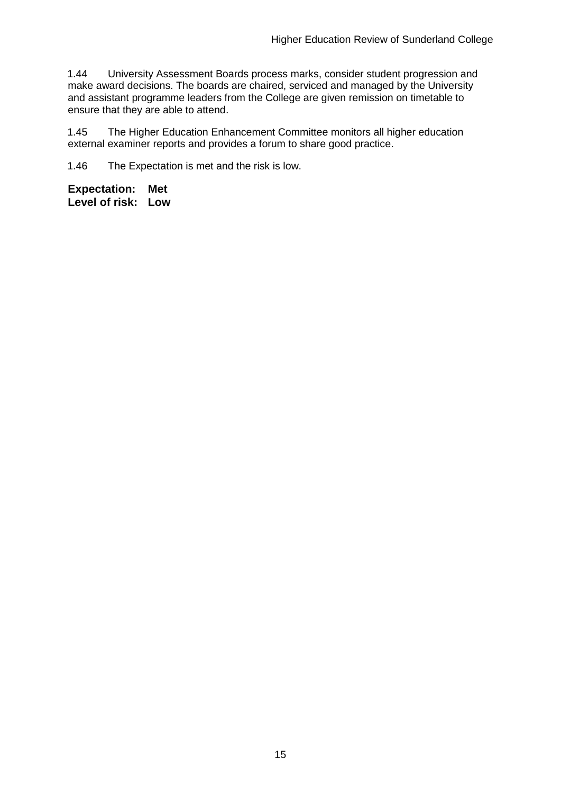1.44 University Assessment Boards process marks, consider student progression and make award decisions. The boards are chaired, serviced and managed by the University and assistant programme leaders from the College are given remission on timetable to ensure that they are able to attend.

1.45 The Higher Education Enhancement Committee monitors all higher education external examiner reports and provides a forum to share good practice.

1.46 The Expectation is met and the risk is low.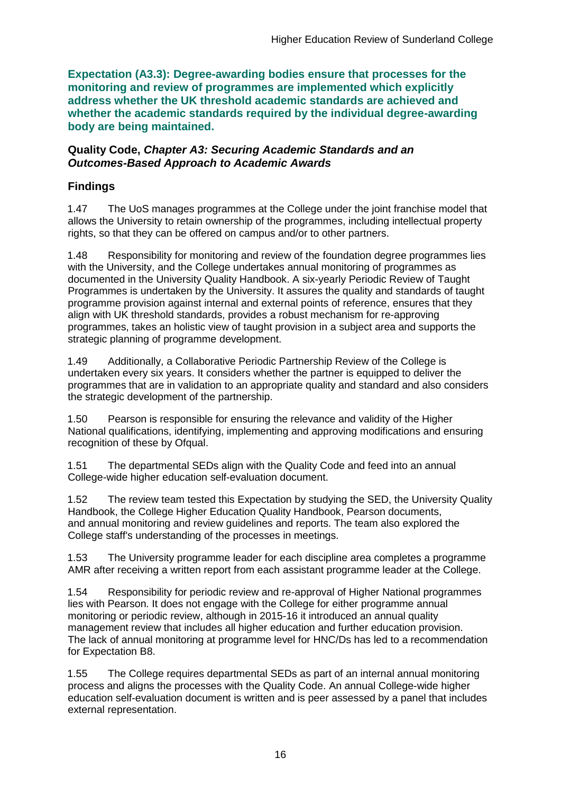**Expectation (A3.3): Degree-awarding bodies ensure that processes for the monitoring and review of programmes are implemented which explicitly address whether the UK threshold academic standards are achieved and whether the academic standards required by the individual degree-awarding body are being maintained.**

#### **Quality Code,** *Chapter A3: Securing Academic Standards and an Outcomes-Based Approach to Academic Awards*

## **Findings**

1.47 The UoS manages programmes at the College under the joint franchise model that allows the University to retain ownership of the programmes, including intellectual property rights, so that they can be offered on campus and/or to other partners.

1.48 Responsibility for monitoring and review of the foundation degree programmes lies with the University, and the College undertakes annual monitoring of programmes as documented in the University Quality Handbook. A six-yearly Periodic Review of Taught Programmes is undertaken by the University. It assures the quality and standards of taught programme provision against internal and external points of reference, ensures that they align with UK threshold standards, provides a robust mechanism for re-approving programmes, takes an holistic view of taught provision in a subject area and supports the strategic planning of programme development.

1.49 Additionally, a Collaborative Periodic Partnership Review of the College is undertaken every six years. It considers whether the partner is equipped to deliver the programmes that are in validation to an appropriate quality and standard and also considers the strategic development of the partnership.

1.50 Pearson is responsible for ensuring the relevance and validity of the Higher National qualifications, identifying, implementing and approving modifications and ensuring recognition of these by Ofqual.

1.51 The departmental SEDs align with the Quality Code and feed into an annual College-wide higher education self-evaluation document.

1.52 The review team tested this Expectation by studying the SED, the University Quality Handbook, the College Higher Education Quality Handbook, Pearson documents, and annual monitoring and review guidelines and reports. The team also explored the College staff's understanding of the processes in meetings.

1.53 The University programme leader for each discipline area completes a programme AMR after receiving a written report from each assistant programme leader at the College.

1.54 Responsibility for periodic review and re-approval of Higher National programmes lies with Pearson. It does not engage with the College for either programme annual monitoring or periodic review, although in 2015-16 it introduced an annual quality management review that includes all higher education and further education provision. The lack of annual monitoring at programme level for HNC/Ds has led to a recommendation for Expectation B8.

1.55 The College requires departmental SEDs as part of an internal annual monitoring process and aligns the processes with the Quality Code. An annual College-wide higher education self-evaluation document is written and is peer assessed by a panel that includes external representation.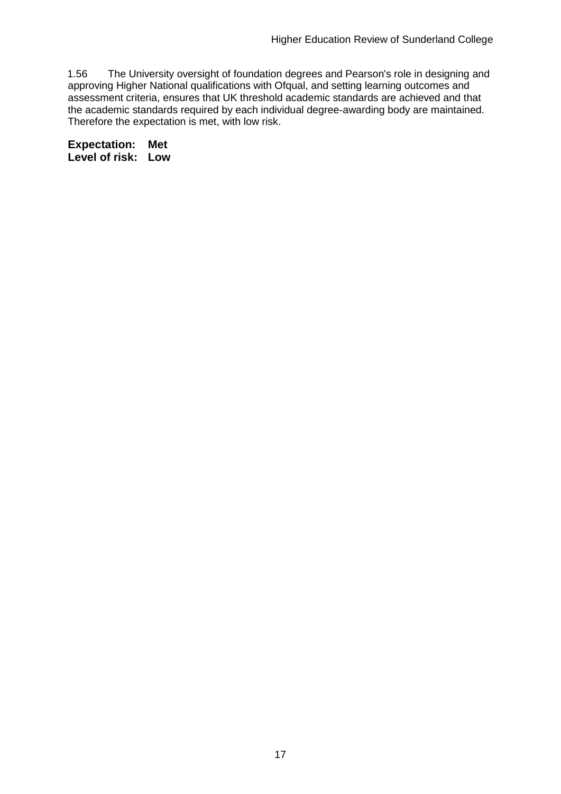1.56 The University oversight of foundation degrees and Pearson's role in designing and approving Higher National qualifications with Ofqual, and setting learning outcomes and assessment criteria, ensures that UK threshold academic standards are achieved and that the academic standards required by each individual degree-awarding body are maintained. Therefore the expectation is met, with low risk.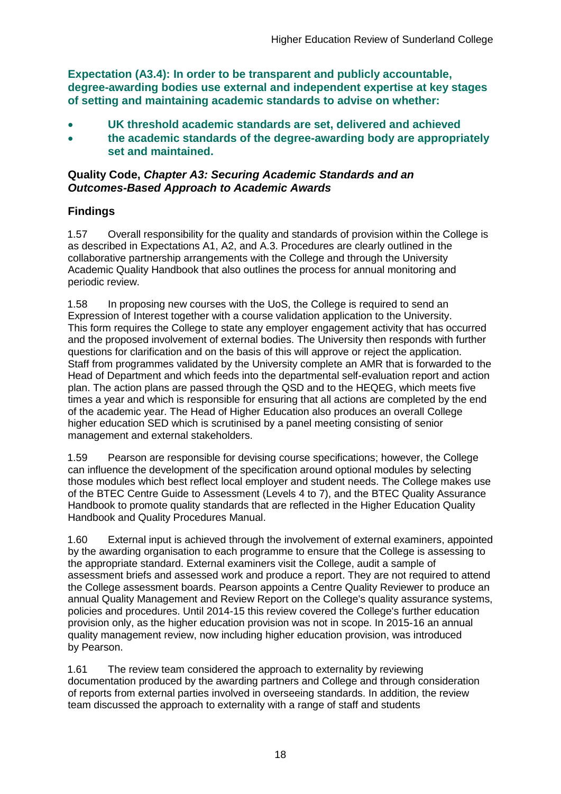**Expectation (A3.4): In order to be transparent and publicly accountable, degree-awarding bodies use external and independent expertise at key stages of setting and maintaining academic standards to advise on whether:**

- **UK threshold academic standards are set, delivered and achieved**
- **the academic standards of the degree-awarding body are appropriately set and maintained.**

### **Quality Code,** *Chapter A3: Securing Academic Standards and an Outcomes-Based Approach to Academic Awards*

## **Findings**

1.57 Overall responsibility for the quality and standards of provision within the College is as described in Expectations A1, A2, and A.3. Procedures are clearly outlined in the collaborative partnership arrangements with the College and through the University Academic Quality Handbook that also outlines the process for annual monitoring and periodic review.

1.58 In proposing new courses with the UoS, the College is required to send an Expression of Interest together with a course validation application to the University. This form requires the College to state any employer engagement activity that has occurred and the proposed involvement of external bodies. The University then responds with further questions for clarification and on the basis of this will approve or reject the application. Staff from programmes validated by the University complete an AMR that is forwarded to the Head of Department and which feeds into the departmental self-evaluation report and action plan. The action plans are passed through the QSD and to the HEQEG, which meets five times a year and which is responsible for ensuring that all actions are completed by the end of the academic year. The Head of Higher Education also produces an overall College higher education SED which is scrutinised by a panel meeting consisting of senior management and external stakeholders.

1.59 Pearson are responsible for devising course specifications; however, the College can influence the development of the specification around optional modules by selecting those modules which best reflect local employer and student needs. The College makes use of the BTEC Centre Guide to Assessment (Levels 4 to 7), and the BTEC Quality Assurance Handbook to promote quality standards that are reflected in the Higher Education Quality Handbook and Quality Procedures Manual.

1.60 External input is achieved through the involvement of external examiners, appointed by the awarding organisation to each programme to ensure that the College is assessing to the appropriate standard. External examiners visit the College, audit a sample of assessment briefs and assessed work and produce a report. They are not required to attend the College assessment boards. Pearson appoints a Centre Quality Reviewer to produce an annual Quality Management and Review Report on the College's quality assurance systems, policies and procedures. Until 2014-15 this review covered the College's further education provision only, as the higher education provision was not in scope. In 2015-16 an annual quality management review, now including higher education provision, was introduced by Pearson.

1.61 The review team considered the approach to externality by reviewing documentation produced by the awarding partners and College and through consideration of reports from external parties involved in overseeing standards. In addition, the review team discussed the approach to externality with a range of staff and students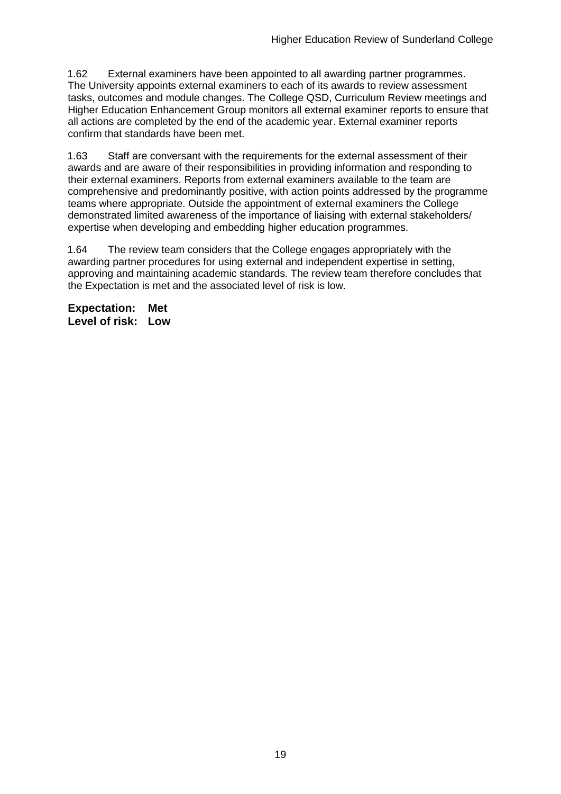1.62 External examiners have been appointed to all awarding partner programmes. The University appoints external examiners to each of its awards to review assessment tasks, outcomes and module changes. The College QSD, Curriculum Review meetings and Higher Education Enhancement Group monitors all external examiner reports to ensure that all actions are completed by the end of the academic year. External examiner reports confirm that standards have been met.

1.63 Staff are conversant with the requirements for the external assessment of their awards and are aware of their responsibilities in providing information and responding to their external examiners. Reports from external examiners available to the team are comprehensive and predominantly positive, with action points addressed by the programme teams where appropriate. Outside the appointment of external examiners the College demonstrated limited awareness of the importance of liaising with external stakeholders/ expertise when developing and embedding higher education programmes.

1.64 The review team considers that the College engages appropriately with the awarding partner procedures for using external and independent expertise in setting, approving and maintaining academic standards. The review team therefore concludes that the Expectation is met and the associated level of risk is low.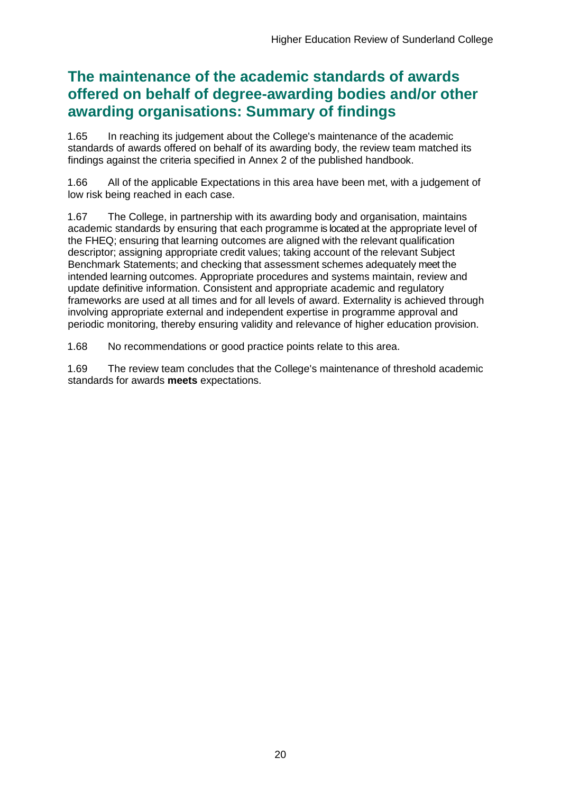## **The maintenance of the academic standards of awards offered on behalf of degree-awarding bodies and/or other awarding organisations: Summary of findings**

1.65 In reaching its judgement about the College's maintenance of the academic standards of awards offered on behalf of its awarding body, the review team matched its findings against the criteria specified in Annex 2 of the published handbook.

1.66 All of the applicable Expectations in this area have been met, with a judgement of low risk being reached in each case.

1.67 The College, in partnership with its awarding body and organisation, maintains academic standards by ensuring that each programme is located at the appropriate level of the FHEQ; ensuring that learning outcomes are aligned with the relevant qualification descriptor; assigning appropriate credit values; taking account of the relevant Subject Benchmark Statements; and checking that assessment schemes adequately meet the intended learning outcomes. Appropriate procedures and systems maintain, review and update definitive information. Consistent and appropriate academic and regulatory frameworks are used at all times and for all levels of award. Externality is achieved through involving appropriate external and independent expertise in programme approval and periodic monitoring, thereby ensuring validity and relevance of higher education provision.

1.68 No recommendations or good practice points relate to this area.

1.69 The review team concludes that the College's maintenance of threshold academic standards for awards **meets** expectations.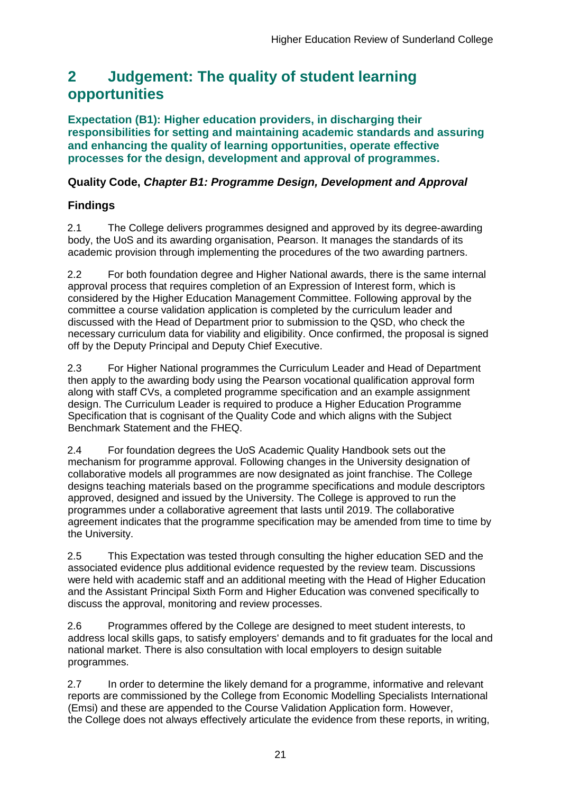## <span id="page-21-0"></span>**2 Judgement: The quality of student learning opportunities**

**Expectation (B1): Higher education providers, in discharging their responsibilities for setting and maintaining academic standards and assuring and enhancing the quality of learning opportunities, operate effective processes for the design, development and approval of programmes.**

## **Quality Code,** *Chapter B1: Programme Design, Development and Approval*

## **Findings**

2.1 The College delivers programmes designed and approved by its degree-awarding body, the UoS and its awarding organisation, Pearson. It manages the standards of its academic provision through implementing the procedures of the two awarding partners.

2.2 For both foundation degree and Higher National awards, there is the same internal approval process that requires completion of an Expression of Interest form, which is considered by the Higher Education Management Committee. Following approval by the committee a course validation application is completed by the curriculum leader and discussed with the Head of Department prior to submission to the QSD, who check the necessary curriculum data for viability and eligibility. Once confirmed, the proposal is signed off by the Deputy Principal and Deputy Chief Executive.

2.3 For Higher National programmes the Curriculum Leader and Head of Department then apply to the awarding body using the Pearson vocational qualification approval form along with staff CVs, a completed programme specification and an example assignment design. The Curriculum Leader is required to produce a Higher Education Programme Specification that is cognisant of the Quality Code and which aligns with the Subject Benchmark Statement and the FHEQ.

2.4 For foundation degrees the UoS Academic Quality Handbook sets out the mechanism for programme approval. Following changes in the University designation of collaborative models all programmes are now designated as joint franchise. The College designs teaching materials based on the programme specifications and module descriptors approved, designed and issued by the University. The College is approved to run the programmes under a collaborative agreement that lasts until 2019. The collaborative agreement indicates that the programme specification may be amended from time to time by the University.

2.5 This Expectation was tested through consulting the higher education SED and the associated evidence plus additional evidence requested by the review team. Discussions were held with academic staff and an additional meeting with the Head of Higher Education and the Assistant Principal Sixth Form and Higher Education was convened specifically to discuss the approval, monitoring and review processes.

2.6 Programmes offered by the College are designed to meet student interests, to address local skills gaps, to satisfy employers' demands and to fit graduates for the local and national market. There is also consultation with local employers to design suitable programmes.

2.7 In order to determine the likely demand for a programme, informative and relevant reports are commissioned by the College from Economic Modelling Specialists International (Emsi) and these are appended to the Course Validation Application form. However, the College does not always effectively articulate the evidence from these reports, in writing,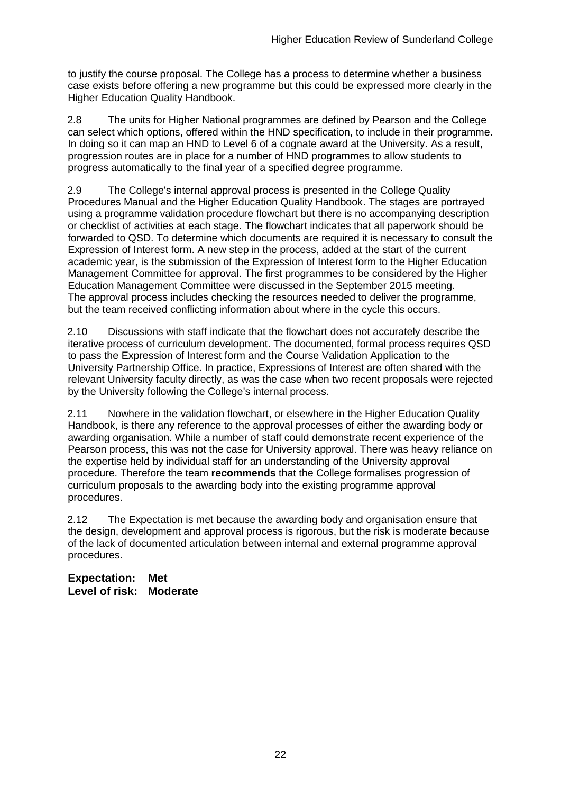to justify the course proposal. The College has a process to determine whether a business case exists before offering a new programme but this could be expressed more clearly in the Higher Education Quality Handbook.

2.8 The units for Higher National programmes are defined by Pearson and the College can select which options, offered within the HND specification, to include in their programme. In doing so it can map an HND to Level 6 of a cognate award at the University. As a result, progression routes are in place for a number of HND programmes to allow students to progress automatically to the final year of a specified degree programme.

2.9 The College's internal approval process is presented in the College Quality Procedures Manual and the Higher Education Quality Handbook. The stages are portrayed using a programme validation procedure flowchart but there is no accompanying description or checklist of activities at each stage. The flowchart indicates that all paperwork should be forwarded to QSD. To determine which documents are required it is necessary to consult the Expression of Interest form. A new step in the process, added at the start of the current academic year, is the submission of the Expression of Interest form to the Higher Education Management Committee for approval. The first programmes to be considered by the Higher Education Management Committee were discussed in the September 2015 meeting. The approval process includes checking the resources needed to deliver the programme, but the team received conflicting information about where in the cycle this occurs.

2.10 Discussions with staff indicate that the flowchart does not accurately describe the iterative process of curriculum development. The documented, formal process requires QSD to pass the Expression of Interest form and the Course Validation Application to the University Partnership Office. In practice, Expressions of Interest are often shared with the relevant University faculty directly, as was the case when two recent proposals were rejected by the University following the College's internal process.

2.11 Nowhere in the validation flowchart, or elsewhere in the Higher Education Quality Handbook, is there any reference to the approval processes of either the awarding body or awarding organisation. While a number of staff could demonstrate recent experience of the Pearson process, this was not the case for University approval. There was heavy reliance on the expertise held by individual staff for an understanding of the University approval procedure. Therefore the team **recommends** that the College formalises progression of curriculum proposals to the awarding body into the existing programme approval procedures.

2.12 The Expectation is met because the awarding body and organisation ensure that the design, development and approval process is rigorous, but the risk is moderate because of the lack of documented articulation between internal and external programme approval procedures.

**Expectation: Met Level of risk: Moderate**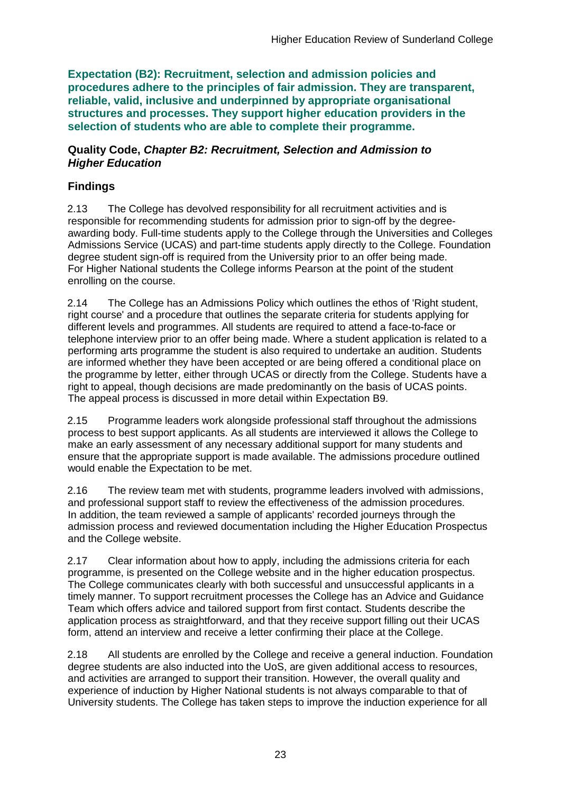**Expectation (B2): Recruitment, selection and admission policies and procedures adhere to the principles of fair admission. They are transparent, reliable, valid, inclusive and underpinned by appropriate organisational structures and processes. They support higher education providers in the selection of students who are able to complete their programme.**

#### **Quality Code,** *Chapter B2: Recruitment, Selection and Admission to Higher Education*

## **Findings**

2.13 The College has devolved responsibility for all recruitment activities and is responsible for recommending students for admission prior to sign-off by the degreeawarding body. Full-time students apply to the College through the Universities and Colleges Admissions Service (UCAS) and part-time students apply directly to the College. Foundation degree student sign-off is required from the University prior to an offer being made. For Higher National students the College informs Pearson at the point of the student enrolling on the course.

2.14 The College has an Admissions Policy which outlines the ethos of 'Right student, right course' and a procedure that outlines the separate criteria for students applying for different levels and programmes. All students are required to attend a face-to-face or telephone interview prior to an offer being made. Where a student application is related to a performing arts programme the student is also required to undertake an audition. Students are informed whether they have been accepted or are being offered a conditional place on the programme by letter, either through UCAS or directly from the College. Students have a right to appeal, though decisions are made predominantly on the basis of UCAS points. The appeal process is discussed in more detail within Expectation B9.

2.15 Programme leaders work alongside professional staff throughout the admissions process to best support applicants. As all students are interviewed it allows the College to make an early assessment of any necessary additional support for many students and ensure that the appropriate support is made available. The admissions procedure outlined would enable the Expectation to be met.

2.16 The review team met with students, programme leaders involved with admissions, and professional support staff to review the effectiveness of the admission procedures. In addition, the team reviewed a sample of applicants' recorded journeys through the admission process and reviewed documentation including the Higher Education Prospectus and the College website.

2.17 Clear information about how to apply, including the admissions criteria for each programme, is presented on the College website and in the higher education prospectus. The College communicates clearly with both successful and unsuccessful applicants in a timely manner. To support recruitment processes the College has an Advice and Guidance Team which offers advice and tailored support from first contact. Students describe the application process as straightforward, and that they receive support filling out their UCAS form, attend an interview and receive a letter confirming their place at the College.

2.18 All students are enrolled by the College and receive a general induction. Foundation degree students are also inducted into the UoS, are given additional access to resources, and activities are arranged to support their transition. However, the overall quality and experience of induction by Higher National students is not always comparable to that of University students. The College has taken steps to improve the induction experience for all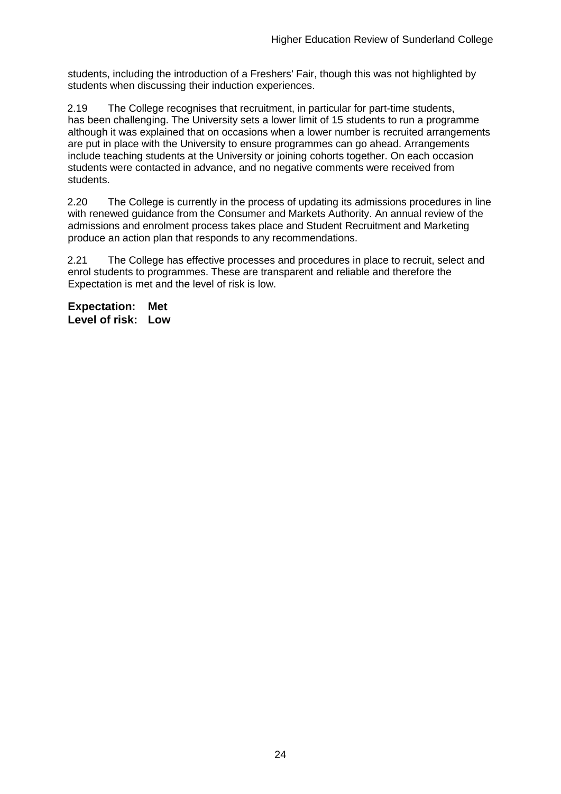students, including the introduction of a Freshers' Fair, though this was not highlighted by students when discussing their induction experiences.

2.19 The College recognises that recruitment, in particular for part-time students, has been challenging. The University sets a lower limit of 15 students to run a programme although it was explained that on occasions when a lower number is recruited arrangements are put in place with the University to ensure programmes can go ahead. Arrangements include teaching students at the University or joining cohorts together. On each occasion students were contacted in advance, and no negative comments were received from students.

2.20 The College is currently in the process of updating its admissions procedures in line with renewed guidance from the Consumer and Markets Authority. An annual review of the admissions and enrolment process takes place and Student Recruitment and Marketing produce an action plan that responds to any recommendations.

2.21 The College has effective processes and procedures in place to recruit, select and enrol students to programmes. These are transparent and reliable and therefore the Expectation is met and the level of risk is low.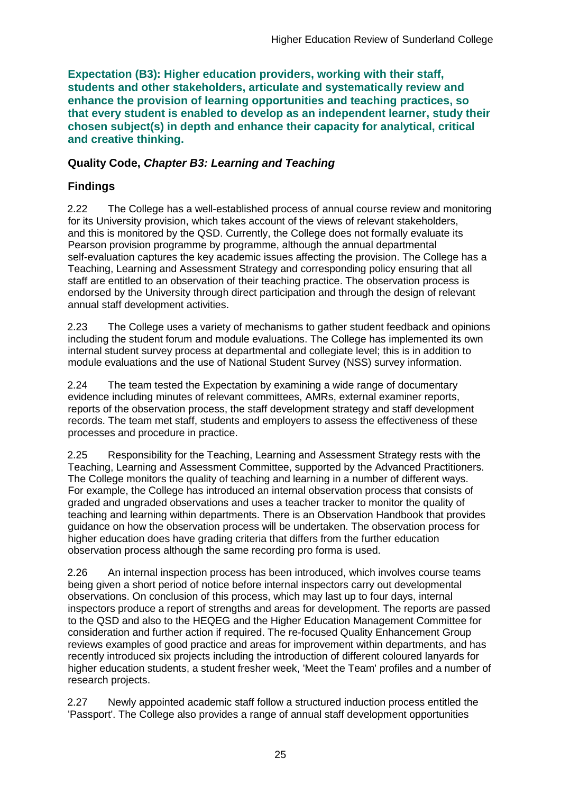**Expectation (B3): Higher education providers, working with their staff, students and other stakeholders, articulate and systematically review and enhance the provision of learning opportunities and teaching practices, so that every student is enabled to develop as an independent learner, study their chosen subject(s) in depth and enhance their capacity for analytical, critical and creative thinking.**

### **Quality Code,** *Chapter B3: Learning and Teaching*

## **Findings**

2.22 The College has a well-established process of annual course review and monitoring for its University provision, which takes account of the views of relevant stakeholders, and this is monitored by the QSD. Currently, the College does not formally evaluate its Pearson provision programme by programme, although the annual departmental self-evaluation captures the key academic issues affecting the provision. The College has a Teaching, Learning and Assessment Strategy and corresponding policy ensuring that all staff are entitled to an observation of their teaching practice. The observation process is endorsed by the University through direct participation and through the design of relevant annual staff development activities.

2.23 The College uses a variety of mechanisms to gather student feedback and opinions including the student forum and module evaluations. The College has implemented its own internal student survey process at departmental and collegiate level; this is in addition to module evaluations and the use of National Student Survey (NSS) survey information.

2.24 The team tested the Expectation by examining a wide range of documentary evidence including minutes of relevant committees, AMRs, external examiner reports, reports of the observation process, the staff development strategy and staff development records. The team met staff, students and employers to assess the effectiveness of these processes and procedure in practice.

2.25 Responsibility for the Teaching, Learning and Assessment Strategy rests with the Teaching, Learning and Assessment Committee, supported by the Advanced Practitioners. The College monitors the quality of teaching and learning in a number of different ways. For example, the College has introduced an internal observation process that consists of graded and ungraded observations and uses a teacher tracker to monitor the quality of teaching and learning within departments. There is an Observation Handbook that provides guidance on how the observation process will be undertaken. The observation process for higher education does have grading criteria that differs from the further education observation process although the same recording pro forma is used.

2.26 An internal inspection process has been introduced, which involves course teams being given a short period of notice before internal inspectors carry out developmental observations. On conclusion of this process, which may last up to four days, internal inspectors produce a report of strengths and areas for development. The reports are passed to the QSD and also to the HEQEG and the Higher Education Management Committee for consideration and further action if required. The re-focused Quality Enhancement Group reviews examples of good practice and areas for improvement within departments, and has recently introduced six projects including the introduction of different coloured lanyards for higher education students, a student fresher week, 'Meet the Team' profiles and a number of research projects.

2.27 Newly appointed academic staff follow a structured induction process entitled the 'Passport'. The College also provides a range of annual staff development opportunities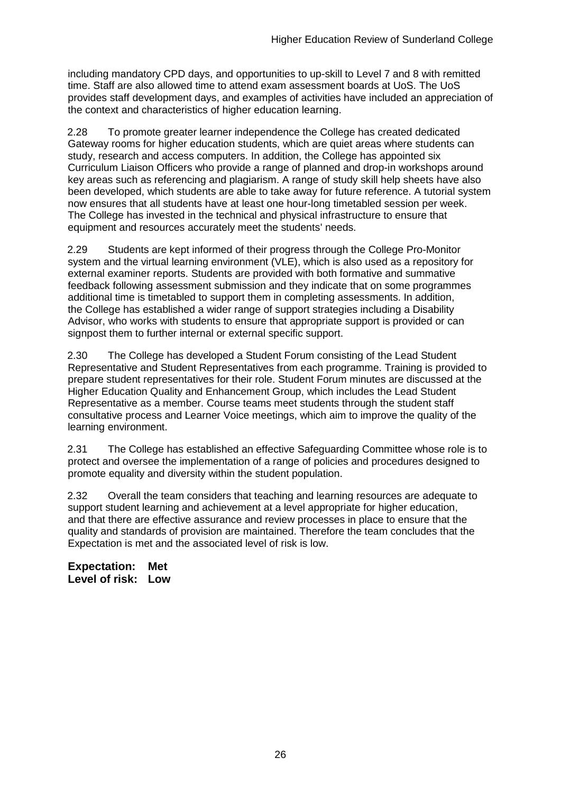including mandatory CPD days, and opportunities to up-skill to Level 7 and 8 with remitted time. Staff are also allowed time to attend exam assessment boards at UoS. The UoS provides staff development days, and examples of activities have included an appreciation of the context and characteristics of higher education learning.

2.28 To promote greater learner independence the College has created dedicated Gateway rooms for higher education students, which are quiet areas where students can study, research and access computers. In addition, the College has appointed six Curriculum Liaison Officers who provide a range of planned and drop-in workshops around key areas such as referencing and plagiarism. A range of study skill help sheets have also been developed, which students are able to take away for future reference. A tutorial system now ensures that all students have at least one hour-long timetabled session per week. The College has invested in the technical and physical infrastructure to ensure that equipment and resources accurately meet the students' needs.

2.29 Students are kept informed of their progress through the College Pro-Monitor system and the virtual learning environment (VLE), which is also used as a repository for external examiner reports. Students are provided with both formative and summative feedback following assessment submission and they indicate that on some programmes additional time is timetabled to support them in completing assessments. In addition, the College has established a wider range of support strategies including a Disability Advisor, who works with students to ensure that appropriate support is provided or can signpost them to further internal or external specific support.

2.30 The College has developed a Student Forum consisting of the Lead Student Representative and Student Representatives from each programme. Training is provided to prepare student representatives for their role. Student Forum minutes are discussed at the Higher Education Quality and Enhancement Group, which includes the Lead Student Representative as a member. Course teams meet students through the student staff consultative process and Learner Voice meetings, which aim to improve the quality of the learning environment.

2.31 The College has established an effective Safeguarding Committee whose role is to protect and oversee the implementation of a range of policies and procedures designed to promote equality and diversity within the student population.

2.32 Overall the team considers that teaching and learning resources are adequate to support student learning and achievement at a level appropriate for higher education, and that there are effective assurance and review processes in place to ensure that the quality and standards of provision are maintained. Therefore the team concludes that the Expectation is met and the associated level of risk is low.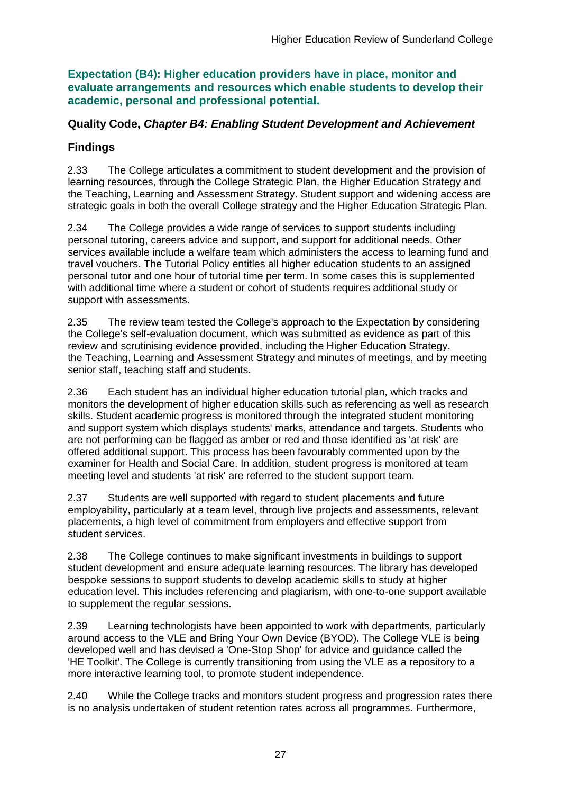**Expectation (B4): Higher education providers have in place, monitor and evaluate arrangements and resources which enable students to develop their academic, personal and professional potential.**

### **Quality Code,** *Chapter B4: Enabling Student Development and Achievement*

## **Findings**

2.33 The College articulates a commitment to student development and the provision of learning resources, through the College Strategic Plan, the Higher Education Strategy and the Teaching, Learning and Assessment Strategy. Student support and widening access are strategic goals in both the overall College strategy and the Higher Education Strategic Plan.

2.34 The College provides a wide range of services to support students including personal tutoring, careers advice and support, and support for additional needs. Other services available include a welfare team which administers the access to learning fund and travel vouchers. The Tutorial Policy entitles all higher education students to an assigned personal tutor and one hour of tutorial time per term. In some cases this is supplemented with additional time where a student or cohort of students requires additional study or support with assessments.

2.35 The review team tested the College's approach to the Expectation by considering the College's self-evaluation document, which was submitted as evidence as part of this review and scrutinising evidence provided, including the Higher Education Strategy, the Teaching, Learning and Assessment Strategy and minutes of meetings, and by meeting senior staff, teaching staff and students.

2.36 Each student has an individual higher education tutorial plan, which tracks and monitors the development of higher education skills such as referencing as well as research skills. Student academic progress is monitored through the integrated student monitoring and support system which displays students' marks, attendance and targets. Students who are not performing can be flagged as amber or red and those identified as 'at risk' are offered additional support. This process has been favourably commented upon by the examiner for Health and Social Care. In addition, student progress is monitored at team meeting level and students 'at risk' are referred to the student support team.

2.37 Students are well supported with regard to student placements and future employability, particularly at a team level, through live projects and assessments, relevant placements, a high level of commitment from employers and effective support from student services.

2.38 The College continues to make significant investments in buildings to support student development and ensure adequate learning resources. The library has developed bespoke sessions to support students to develop academic skills to study at higher education level. This includes referencing and plagiarism, with one-to-one support available to supplement the regular sessions.

2.39 Learning technologists have been appointed to work with departments, particularly around access to the VLE and Bring Your Own Device (BYOD). The College VLE is being developed well and has devised a 'One-Stop Shop' for advice and guidance called the 'HE Toolkit'. The College is currently transitioning from using the VLE as a repository to a more interactive learning tool, to promote student independence.

2.40 While the College tracks and monitors student progress and progression rates there is no analysis undertaken of student retention rates across all programmes. Furthermore,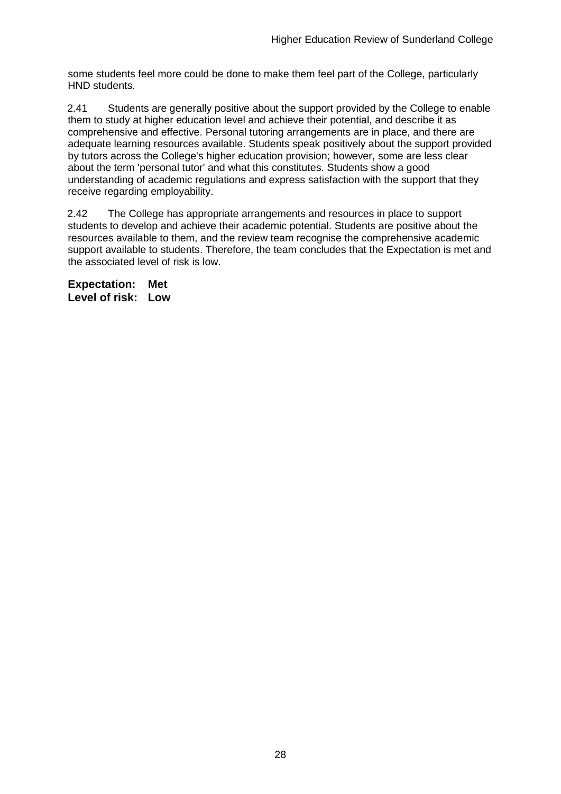some students feel more could be done to make them feel part of the College, particularly HND students.

2.41 Students are generally positive about the support provided by the College to enable them to study at higher education level and achieve their potential, and describe it as comprehensive and effective. Personal tutoring arrangements are in place, and there are adequate learning resources available. Students speak positively about the support provided by tutors across the College's higher education provision; however, some are less clear about the term 'personal tutor' and what this constitutes. Students show a good understanding of academic regulations and express satisfaction with the support that they receive regarding employability.

2.42 The College has appropriate arrangements and resources in place to support students to develop and achieve their academic potential. Students are positive about the resources available to them, and the review team recognise the comprehensive academic support available to students. Therefore, the team concludes that the Expectation is met and the associated level of risk is low.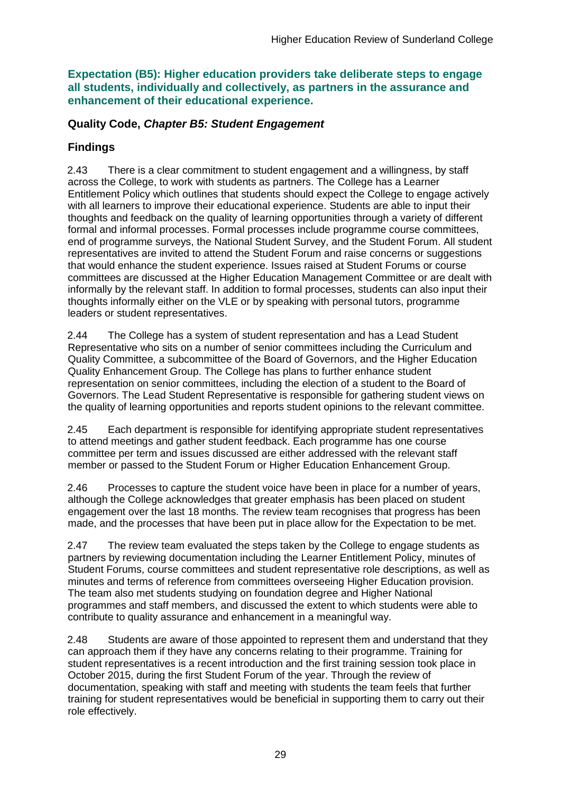**Expectation (B5): Higher education providers take deliberate steps to engage all students, individually and collectively, as partners in the assurance and enhancement of their educational experience.**

### **Quality Code,** *Chapter B5: Student Engagement*

### **Findings**

2.43 There is a clear commitment to student engagement and a willingness, by staff across the College, to work with students as partners. The College has a Learner Entitlement Policy which outlines that students should expect the College to engage actively with all learners to improve their educational experience. Students are able to input their thoughts and feedback on the quality of learning opportunities through a variety of different formal and informal processes. Formal processes include programme course committees, end of programme surveys, the National Student Survey, and the Student Forum. All student representatives are invited to attend the Student Forum and raise concerns or suggestions that would enhance the student experience. Issues raised at Student Forums or course committees are discussed at the Higher Education Management Committee or are dealt with informally by the relevant staff. In addition to formal processes, students can also input their thoughts informally either on the VLE or by speaking with personal tutors, programme leaders or student representatives.

2.44 The College has a system of student representation and has a Lead Student Representative who sits on a number of senior committees including the Curriculum and Quality Committee, a subcommittee of the Board of Governors, and the Higher Education Quality Enhancement Group. The College has plans to further enhance student representation on senior committees, including the election of a student to the Board of Governors. The Lead Student Representative is responsible for gathering student views on the quality of learning opportunities and reports student opinions to the relevant committee.

2.45 Each department is responsible for identifying appropriate student representatives to attend meetings and gather student feedback. Each programme has one course committee per term and issues discussed are either addressed with the relevant staff member or passed to the Student Forum or Higher Education Enhancement Group.

2.46 Processes to capture the student voice have been in place for a number of years, although the College acknowledges that greater emphasis has been placed on student engagement over the last 18 months. The review team recognises that progress has been made, and the processes that have been put in place allow for the Expectation to be met.

2.47 The review team evaluated the steps taken by the College to engage students as partners by reviewing documentation including the Learner Entitlement Policy, minutes of Student Forums, course committees and student representative role descriptions, as well as minutes and terms of reference from committees overseeing Higher Education provision. The team also met students studying on foundation degree and Higher National programmes and staff members, and discussed the extent to which students were able to contribute to quality assurance and enhancement in a meaningful way.

2.48 Students are aware of those appointed to represent them and understand that they can approach them if they have any concerns relating to their programme. Training for student representatives is a recent introduction and the first training session took place in October 2015, during the first Student Forum of the year. Through the review of documentation, speaking with staff and meeting with students the team feels that further training for student representatives would be beneficial in supporting them to carry out their role effectively.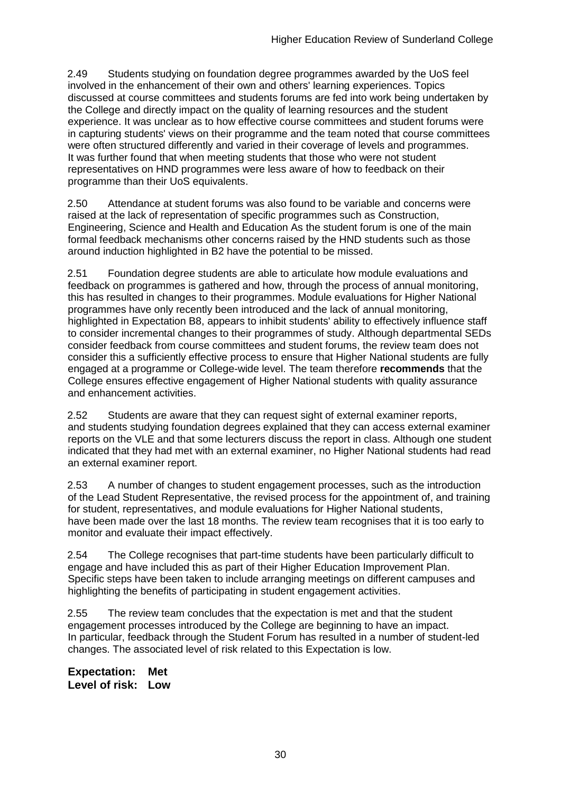2.49 Students studying on foundation degree programmes awarded by the UoS feel involved in the enhancement of their own and others' learning experiences. Topics discussed at course committees and students forums are fed into work being undertaken by the College and directly impact on the quality of learning resources and the student experience. It was unclear as to how effective course committees and student forums were in capturing students' views on their programme and the team noted that course committees were often structured differently and varied in their coverage of levels and programmes. It was further found that when meeting students that those who were not student representatives on HND programmes were less aware of how to feedback on their programme than their UoS equivalents.

2.50 Attendance at student forums was also found to be variable and concerns were raised at the lack of representation of specific programmes such as Construction, Engineering, Science and Health and Education As the student forum is one of the main formal feedback mechanisms other concerns raised by the HND students such as those around induction highlighted in B2 have the potential to be missed.

2.51 Foundation degree students are able to articulate how module evaluations and feedback on programmes is gathered and how, through the process of annual monitoring, this has resulted in changes to their programmes. Module evaluations for Higher National programmes have only recently been introduced and the lack of annual monitoring, highlighted in Expectation B8, appears to inhibit students' ability to effectively influence staff to consider incremental changes to their programmes of study. Although departmental SEDs consider feedback from course committees and student forums, the review team does not consider this a sufficiently effective process to ensure that Higher National students are fully engaged at a programme or College-wide level. The team therefore **recommends** that the College ensures effective engagement of Higher National students with quality assurance and enhancement activities.

2.52 Students are aware that they can request sight of external examiner reports, and students studying foundation degrees explained that they can access external examiner reports on the VLE and that some lecturers discuss the report in class. Although one student indicated that they had met with an external examiner, no Higher National students had read an external examiner report.

2.53 A number of changes to student engagement processes, such as the introduction of the Lead Student Representative, the revised process for the appointment of, and training for student, representatives, and module evaluations for Higher National students, have been made over the last 18 months. The review team recognises that it is too early to monitor and evaluate their impact effectively.

2.54 The College recognises that part-time students have been particularly difficult to engage and have included this as part of their Higher Education Improvement Plan. Specific steps have been taken to include arranging meetings on different campuses and highlighting the benefits of participating in student engagement activities.

2.55 The review team concludes that the expectation is met and that the student engagement processes introduced by the College are beginning to have an impact. In particular, feedback through the Student Forum has resulted in a number of student-led changes. The associated level of risk related to this Expectation is low.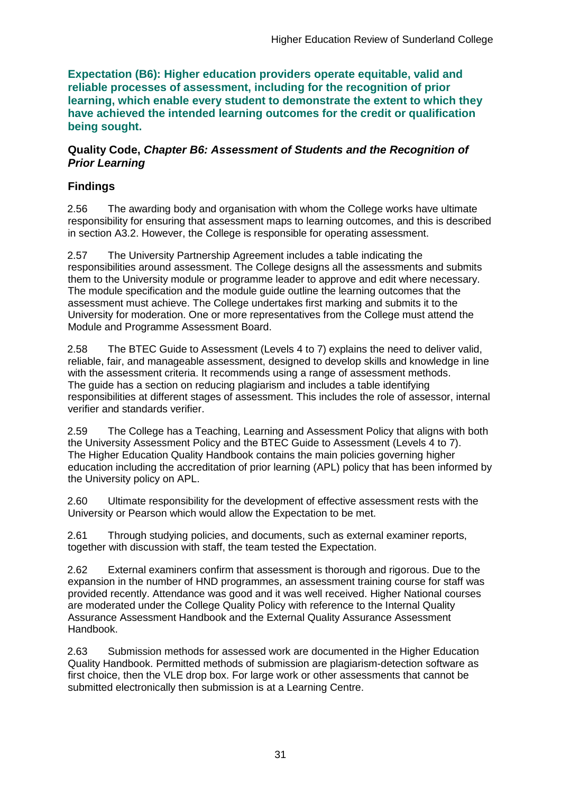**Expectation (B6): Higher education providers operate equitable, valid and reliable processes of assessment, including for the recognition of prior learning, which enable every student to demonstrate the extent to which they have achieved the intended learning outcomes for the credit or qualification being sought.**

#### **Quality Code,** *Chapter B6: Assessment of Students and the Recognition of Prior Learning*

## **Findings**

2.56 The awarding body and organisation with whom the College works have ultimate responsibility for ensuring that assessment maps to learning outcomes, and this is described in section A3.2. However, the College is responsible for operating assessment.

2.57 The University Partnership Agreement includes a table indicating the responsibilities around assessment. The College designs all the assessments and submits them to the University module or programme leader to approve and edit where necessary. The module specification and the module guide outline the learning outcomes that the assessment must achieve. The College undertakes first marking and submits it to the University for moderation. One or more representatives from the College must attend the Module and Programme Assessment Board.

2.58 The BTEC Guide to Assessment (Levels 4 to 7) explains the need to deliver valid, reliable, fair, and manageable assessment, designed to develop skills and knowledge in line with the assessment criteria. It recommends using a range of assessment methods. The guide has a section on reducing plagiarism and includes a table identifying responsibilities at different stages of assessment. This includes the role of assessor, internal verifier and standards verifier.

2.59 The College has a Teaching, Learning and Assessment Policy that aligns with both the University Assessment Policy and the BTEC Guide to Assessment (Levels 4 to 7). The Higher Education Quality Handbook contains the main policies governing higher education including the accreditation of prior learning (APL) policy that has been informed by the University policy on APL.

2.60 Ultimate responsibility for the development of effective assessment rests with the University or Pearson which would allow the Expectation to be met.

2.61 Through studying policies, and documents, such as external examiner reports, together with discussion with staff, the team tested the Expectation.

2.62 External examiners confirm that assessment is thorough and rigorous. Due to the expansion in the number of HND programmes, an assessment training course for staff was provided recently. Attendance was good and it was well received. Higher National courses are moderated under the College Quality Policy with reference to the Internal Quality Assurance Assessment Handbook and the External Quality Assurance Assessment Handbook.

2.63 Submission methods for assessed work are documented in the Higher Education Quality Handbook. Permitted methods of submission are plagiarism-detection software as first choice, then the VLE drop box. For large work or other assessments that cannot be submitted electronically then submission is at a Learning Centre.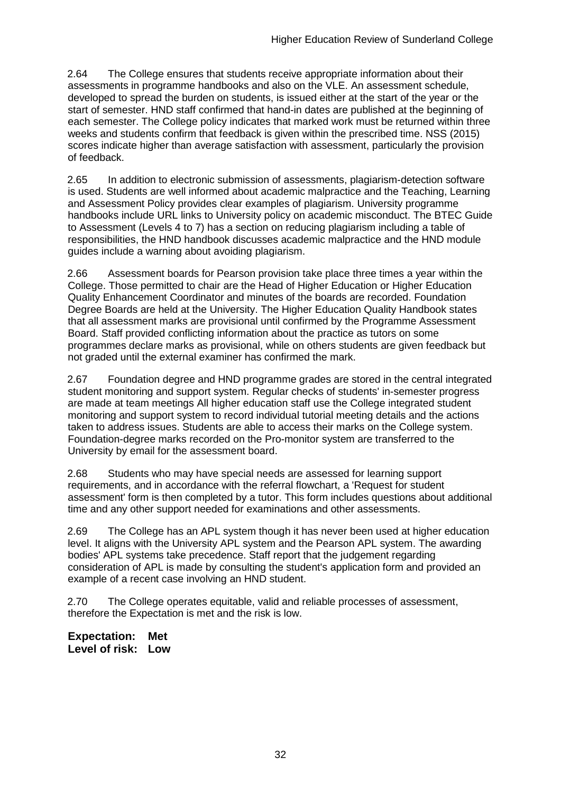2.64 The College ensures that students receive appropriate information about their assessments in programme handbooks and also on the VLE. An assessment schedule, developed to spread the burden on students, is issued either at the start of the year or the start of semester. HND staff confirmed that hand-in dates are published at the beginning of each semester. The College policy indicates that marked work must be returned within three weeks and students confirm that feedback is given within the prescribed time. NSS (2015) scores indicate higher than average satisfaction with assessment, particularly the provision of feedback.

2.65 In addition to electronic submission of assessments, plagiarism-detection software is used. Students are well informed about academic malpractice and the Teaching, Learning and Assessment Policy provides clear examples of plagiarism. University programme handbooks include URL links to University policy on academic misconduct. The BTEC Guide to Assessment (Levels 4 to 7) has a section on reducing plagiarism including a table of responsibilities, the HND handbook discusses academic malpractice and the HND module guides include a warning about avoiding plagiarism.

2.66 Assessment boards for Pearson provision take place three times a year within the College. Those permitted to chair are the Head of Higher Education or Higher Education Quality Enhancement Coordinator and minutes of the boards are recorded. Foundation Degree Boards are held at the University. The Higher Education Quality Handbook states that all assessment marks are provisional until confirmed by the Programme Assessment Board. Staff provided conflicting information about the practice as tutors on some programmes declare marks as provisional, while on others students are given feedback but not graded until the external examiner has confirmed the mark.

2.67 Foundation degree and HND programme grades are stored in the central integrated student monitoring and support system. Regular checks of students' in-semester progress are made at team meetings All higher education staff use the College integrated student monitoring and support system to record individual tutorial meeting details and the actions taken to address issues. Students are able to access their marks on the College system. Foundation-degree marks recorded on the Pro-monitor system are transferred to the University by email for the assessment board.

2.68 Students who may have special needs are assessed for learning support requirements, and in accordance with the referral flowchart, a 'Request for student assessment' form is then completed by a tutor. This form includes questions about additional time and any other support needed for examinations and other assessments.

2.69 The College has an APL system though it has never been used at higher education level. It aligns with the University APL system and the Pearson APL system. The awarding bodies' APL systems take precedence. Staff report that the judgement regarding consideration of APL is made by consulting the student's application form and provided an example of a recent case involving an HND student.

2.70 The College operates equitable, valid and reliable processes of assessment, therefore the Expectation is met and the risk is low.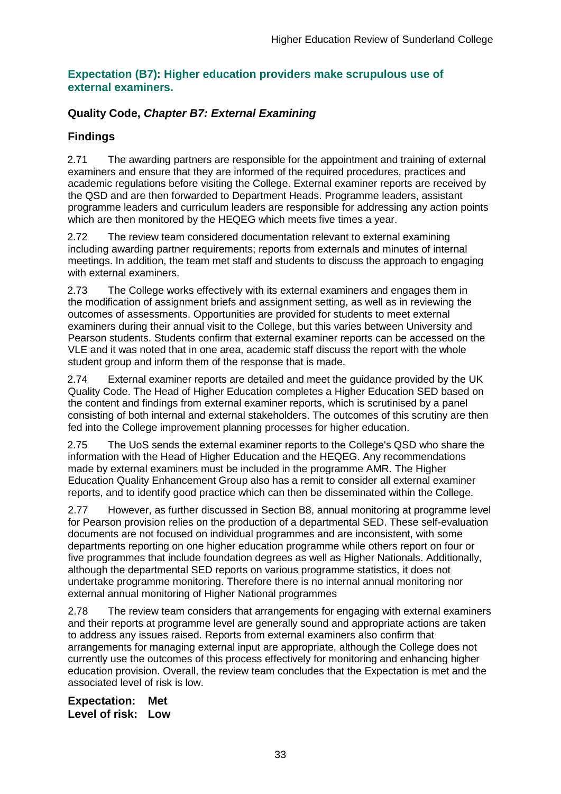### **Expectation (B7): Higher education providers make scrupulous use of external examiners.**

## **Quality Code,** *Chapter B7: External Examining*

## **Findings**

2.71 The awarding partners are responsible for the appointment and training of external examiners and ensure that they are informed of the required procedures, practices and academic regulations before visiting the College. External examiner reports are received by the QSD and are then forwarded to Department Heads. Programme leaders, assistant programme leaders and curriculum leaders are responsible for addressing any action points which are then monitored by the HEQEG which meets five times a year.

2.72 The review team considered documentation relevant to external examining including awarding partner requirements; reports from externals and minutes of internal meetings. In addition, the team met staff and students to discuss the approach to engaging with external examiners.

2.73 The College works effectively with its external examiners and engages them in the modification of assignment briefs and assignment setting, as well as in reviewing the outcomes of assessments. Opportunities are provided for students to meet external examiners during their annual visit to the College, but this varies between University and Pearson students. Students confirm that external examiner reports can be accessed on the VLE and it was noted that in one area, academic staff discuss the report with the whole student group and inform them of the response that is made.

2.74 External examiner reports are detailed and meet the guidance provided by the UK Quality Code. The Head of Higher Education completes a Higher Education SED based on the content and findings from external examiner reports, which is scrutinised by a panel consisting of both internal and external stakeholders. The outcomes of this scrutiny are then fed into the College improvement planning processes for higher education.

2.75 The UoS sends the external examiner reports to the College's QSD who share the information with the Head of Higher Education and the HEQEG. Any recommendations made by external examiners must be included in the programme AMR. The Higher Education Quality Enhancement Group also has a remit to consider all external examiner reports, and to identify good practice which can then be disseminated within the College.

2.77 However, as further discussed in Section B8, annual monitoring at programme level for Pearson provision relies on the production of a departmental SED. These self-evaluation documents are not focused on individual programmes and are inconsistent, with some departments reporting on one higher education programme while others report on four or five programmes that include foundation degrees as well as Higher Nationals. Additionally, although the departmental SED reports on various programme statistics, it does not undertake programme monitoring. Therefore there is no internal annual monitoring nor external annual monitoring of Higher National programmes

2.78 The review team considers that arrangements for engaging with external examiners and their reports at programme level are generally sound and appropriate actions are taken to address any issues raised. Reports from external examiners also confirm that arrangements for managing external input are appropriate, although the College does not currently use the outcomes of this process effectively for monitoring and enhancing higher education provision. Overall, the review team concludes that the Expectation is met and the associated level of risk is low.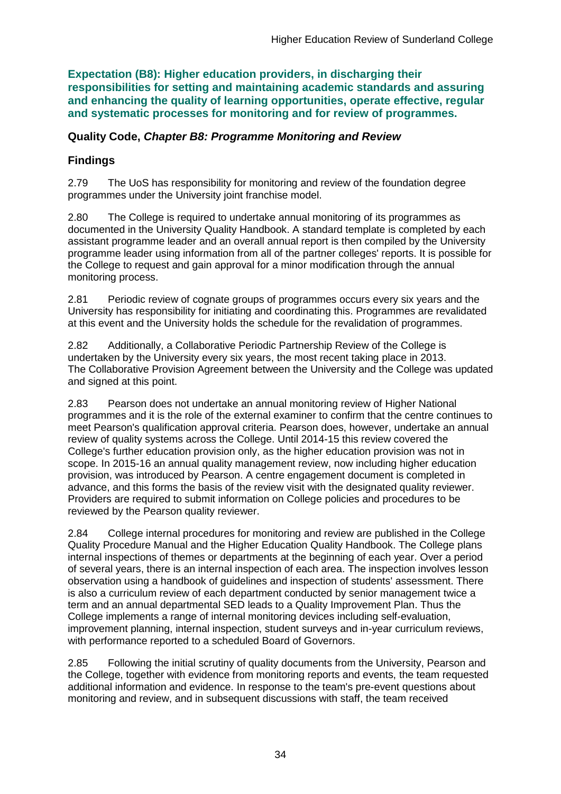**Expectation (B8): Higher education providers, in discharging their responsibilities for setting and maintaining academic standards and assuring and enhancing the quality of learning opportunities, operate effective, regular and systematic processes for monitoring and for review of programmes.**

### **Quality Code,** *Chapter B8: Programme Monitoring and Review*

### **Findings**

2.79 The UoS has responsibility for monitoring and review of the foundation degree programmes under the University joint franchise model.

2.80 The College is required to undertake annual monitoring of its programmes as documented in the University Quality Handbook. A standard template is completed by each assistant programme leader and an overall annual report is then compiled by the University programme leader using information from all of the partner colleges' reports. It is possible for the College to request and gain approval for a minor modification through the annual monitoring process.

2.81 Periodic review of cognate groups of programmes occurs every six years and the University has responsibility for initiating and coordinating this. Programmes are revalidated at this event and the University holds the schedule for the revalidation of programmes.

2.82 Additionally, a Collaborative Periodic Partnership Review of the College is undertaken by the University every six years, the most recent taking place in 2013. The Collaborative Provision Agreement between the University and the College was updated and signed at this point.

2.83 Pearson does not undertake an annual monitoring review of Higher National programmes and it is the role of the external examiner to confirm that the centre continues to meet Pearson's qualification approval criteria. Pearson does, however, undertake an annual review of quality systems across the College. Until 2014-15 this review covered the College's further education provision only, as the higher education provision was not in scope. In 2015-16 an annual quality management review, now including higher education provision, was introduced by Pearson. A centre engagement document is completed in advance, and this forms the basis of the review visit with the designated quality reviewer. Providers are required to submit information on College policies and procedures to be reviewed by the Pearson quality reviewer.

2.84 College internal procedures for monitoring and review are published in the College Quality Procedure Manual and the Higher Education Quality Handbook. The College plans internal inspections of themes or departments at the beginning of each year. Over a period of several years, there is an internal inspection of each area. The inspection involves lesson observation using a handbook of guidelines and inspection of students' assessment. There is also a curriculum review of each department conducted by senior management twice a term and an annual departmental SED leads to a Quality Improvement Plan. Thus the College implements a range of internal monitoring devices including self-evaluation, improvement planning, internal inspection, student surveys and in-year curriculum reviews, with performance reported to a scheduled Board of Governors.

2.85 Following the initial scrutiny of quality documents from the University, Pearson and the College, together with evidence from monitoring reports and events, the team requested additional information and evidence. In response to the team's pre-event questions about monitoring and review, and in subsequent discussions with staff, the team received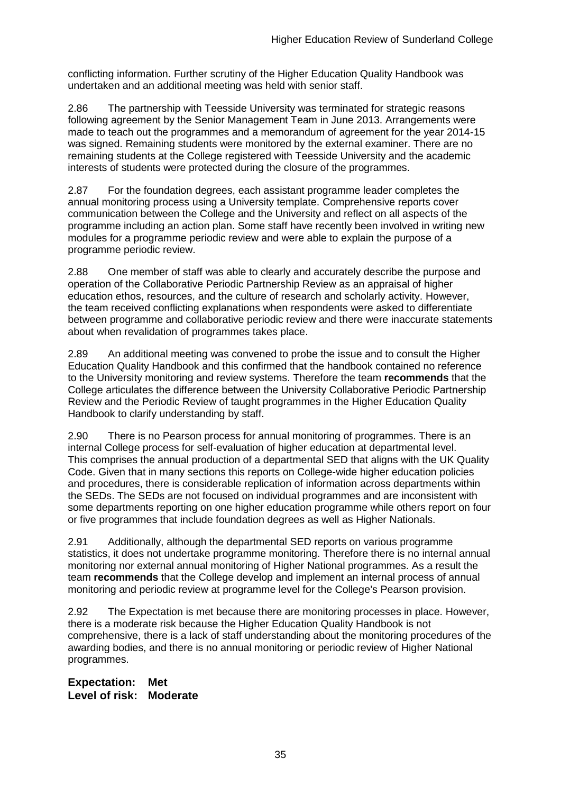conflicting information. Further scrutiny of the Higher Education Quality Handbook was undertaken and an additional meeting was held with senior staff.

2.86 The partnership with Teesside University was terminated for strategic reasons following agreement by the Senior Management Team in June 2013. Arrangements were made to teach out the programmes and a memorandum of agreement for the year 2014-15 was signed. Remaining students were monitored by the external examiner. There are no remaining students at the College registered with Teesside University and the academic interests of students were protected during the closure of the programmes.

2.87 For the foundation degrees, each assistant programme leader completes the annual monitoring process using a University template. Comprehensive reports cover communication between the College and the University and reflect on all aspects of the programme including an action plan. Some staff have recently been involved in writing new modules for a programme periodic review and were able to explain the purpose of a programme periodic review.

2.88 One member of staff was able to clearly and accurately describe the purpose and operation of the Collaborative Periodic Partnership Review as an appraisal of higher education ethos, resources, and the culture of research and scholarly activity. However, the team received conflicting explanations when respondents were asked to differentiate between programme and collaborative periodic review and there were inaccurate statements about when revalidation of programmes takes place.

2.89 An additional meeting was convened to probe the issue and to consult the Higher Education Quality Handbook and this confirmed that the handbook contained no reference to the University monitoring and review systems. Therefore the team **recommends** that the College articulates the difference between the University Collaborative Periodic Partnership Review and the Periodic Review of taught programmes in the Higher Education Quality Handbook to clarify understanding by staff.

2.90 There is no Pearson process for annual monitoring of programmes. There is an internal College process for self-evaluation of higher education at departmental level. This comprises the annual production of a departmental SED that aligns with the UK Quality Code. Given that in many sections this reports on College-wide higher education policies and procedures, there is considerable replication of information across departments within the SEDs. The SEDs are not focused on individual programmes and are inconsistent with some departments reporting on one higher education programme while others report on four or five programmes that include foundation degrees as well as Higher Nationals.

2.91 Additionally, although the departmental SED reports on various programme statistics, it does not undertake programme monitoring. Therefore there is no internal annual monitoring nor external annual monitoring of Higher National programmes. As a result the team **recommends** that the College develop and implement an internal process of annual monitoring and periodic review at programme level for the College's Pearson provision.

2.92 The Expectation is met because there are monitoring processes in place. However, there is a moderate risk because the Higher Education Quality Handbook is not comprehensive, there is a lack of staff understanding about the monitoring procedures of the awarding bodies, and there is no annual monitoring or periodic review of Higher National programmes.

**Expectation: Met Level of risk: Moderate**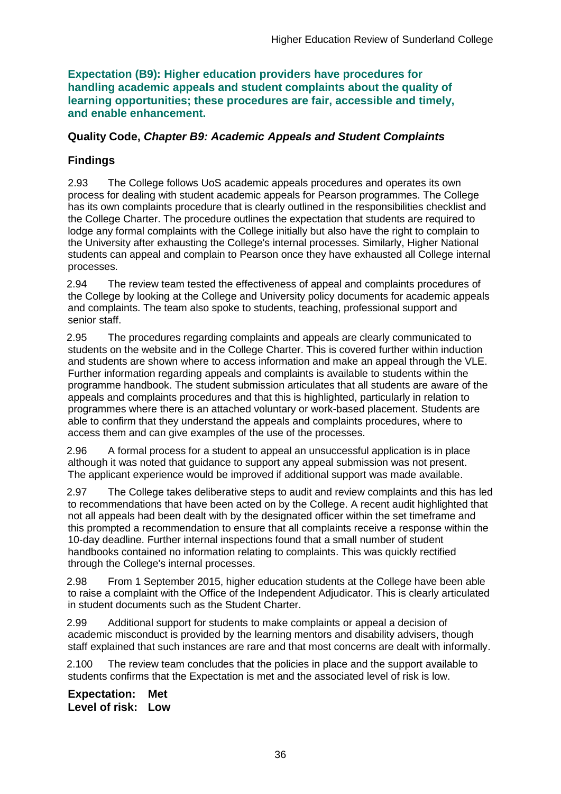**Expectation (B9): Higher education providers have procedures for handling academic appeals and student complaints about the quality of learning opportunities; these procedures are fair, accessible and timely, and enable enhancement.** 

### **Quality Code,** *Chapter B9: Academic Appeals and Student Complaints*

## **Findings**

2.93 The College follows UoS academic appeals procedures and operates its own process for dealing with student academic appeals for Pearson programmes. The College has its own complaints procedure that is clearly outlined in the responsibilities checklist and the College Charter. The procedure outlines the expectation that students are required to lodge any formal complaints with the College initially but also have the right to complain to the University after exhausting the College's internal processes. Similarly, Higher National students can appeal and complain to Pearson once they have exhausted all College internal processes.

2.94 The review team tested the effectiveness of appeal and complaints procedures of the College by looking at the College and University policy documents for academic appeals and complaints. The team also spoke to students, teaching, professional support and senior staff.

2.95 The procedures regarding complaints and appeals are clearly communicated to students on the website and in the College Charter. This is covered further within induction and students are shown where to access information and make an appeal through the VLE. Further information regarding appeals and complaints is available to students within the programme handbook. The student submission articulates that all students are aware of the appeals and complaints procedures and that this is highlighted, particularly in relation to programmes where there is an attached voluntary or work-based placement. Students are able to confirm that they understand the appeals and complaints procedures, where to access them and can give examples of the use of the processes.

2.96 A formal process for a student to appeal an unsuccessful application is in place although it was noted that guidance to support any appeal submission was not present. The applicant experience would be improved if additional support was made available.

2.97 The College takes deliberative steps to audit and review complaints and this has led to recommendations that have been acted on by the College. A recent audit highlighted that not all appeals had been dealt with by the designated officer within the set timeframe and this prompted a recommendation to ensure that all complaints receive a response within the 10-day deadline. Further internal inspections found that a small number of student handbooks contained no information relating to complaints. This was quickly rectified through the College's internal processes.

2.98 From 1 September 2015, higher education students at the College have been able to raise a complaint with the Office of the Independent Adjudicator. This is clearly articulated in student documents such as the Student Charter.

2.99 Additional support for students to make complaints or appeal a decision of academic misconduct is provided by the learning mentors and disability advisers, though staff explained that such instances are rare and that most concerns are dealt with informally.

2.100 The review team concludes that the policies in place and the support available to students confirms that the Expectation is met and the associated level of risk is low.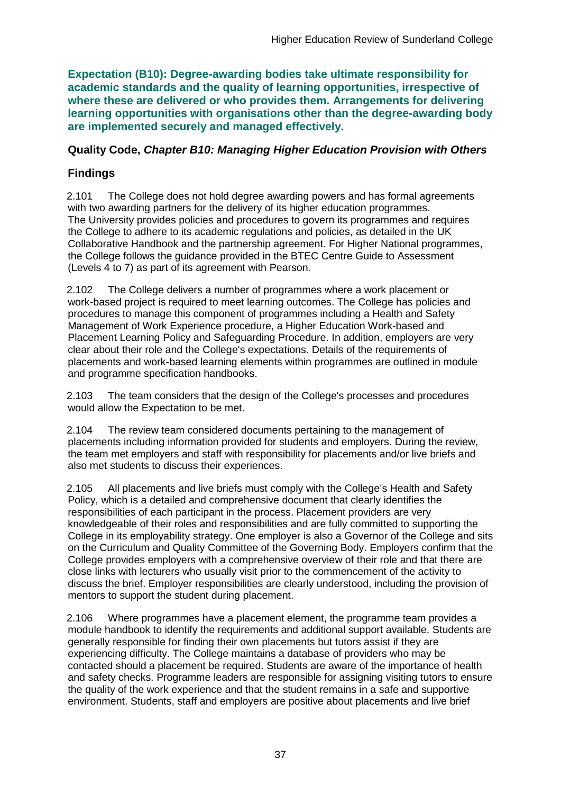**Expectation (B10): Degree-awarding bodies take ultimate responsibility for academic standards and the quality of learning opportunities, irrespective of where these are delivered or who provides them. Arrangements for delivering learning opportunities with organisations other than the degree-awarding body are implemented securely and managed effectively.**

### **Quality Code,** *Chapter B10: Managing Higher Education Provision with Others*

## **Findings**

2.101 The College does not hold degree awarding powers and has formal agreements with two awarding partners for the delivery of its higher education programmes. The University provides policies and procedures to govern its programmes and requires the College to adhere to its academic regulations and policies, as detailed in the UK Collaborative Handbook and the partnership agreement. For Higher National programmes, the College follows the guidance provided in the BTEC Centre Guide to Assessment (Levels 4 to 7) as part of its agreement with Pearson.

2.102 The College delivers a number of programmes where a work placement or work-based project is required to meet learning outcomes. The College has policies and procedures to manage this component of programmes including a Health and Safety Management of Work Experience procedure, a Higher Education Work-based and Placement Learning Policy and Safeguarding Procedure. In addition, employers are very clear about their role and the College's expectations. Details of the requirements of placements and work-based learning elements within programmes are outlined in module and programme specification handbooks.

2.103 The team considers that the design of the College's processes and procedures would allow the Expectation to be met.

2.104 The review team considered documents pertaining to the management of placements including information provided for students and employers. During the review, the team met employers and staff with responsibility for placements and/or live briefs and also met students to discuss their experiences.

2.105 All placements and live briefs must comply with the College's Health and Safety Policy, which is a detailed and comprehensive document that clearly identifies the responsibilities of each participant in the process. Placement providers are very knowledgeable of their roles and responsibilities and are fully committed to supporting the College in its employability strategy. One employer is also a Governor of the College and sits on the Curriculum and Quality Committee of the Governing Body. Employers confirm that the College provides employers with a comprehensive overview of their role and that there are close links with lecturers who usually visit prior to the commencement of the activity to discuss the brief. Employer responsibilities are clearly understood, including the provision of mentors to support the student during placement.

2.106 Where programmes have a placement element, the programme team provides a module handbook to identify the requirements and additional support available. Students are generally responsible for finding their own placements but tutors assist if they are experiencing difficulty. The College maintains a database of providers who may be contacted should a placement be required. Students are aware of the importance of health and safety checks. Programme leaders are responsible for assigning visiting tutors to ensure the quality of the work experience and that the student remains in a safe and supportive environment. Students, staff and employers are positive about placements and live brief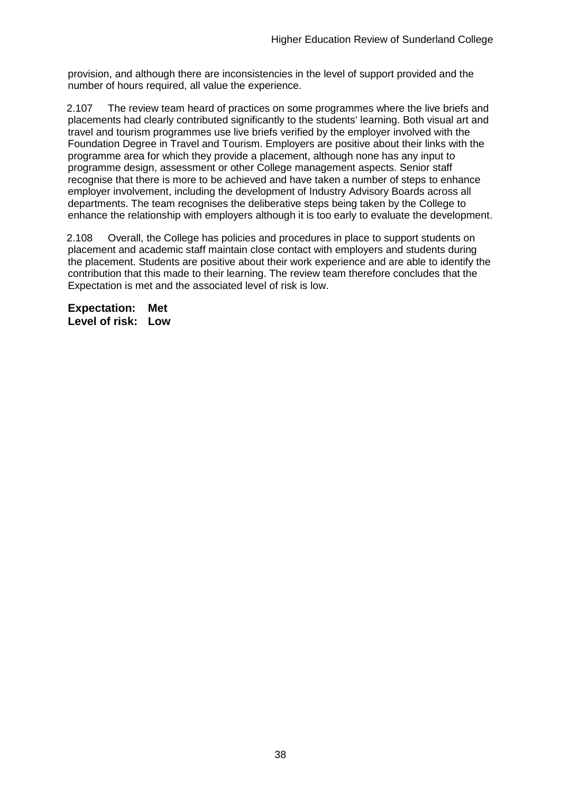provision, and although there are inconsistencies in the level of support provided and the number of hours required, all value the experience.

2.107 The review team heard of practices on some programmes where the live briefs and placements had clearly contributed significantly to the students' learning. Both visual art and travel and tourism programmes use live briefs verified by the employer involved with the Foundation Degree in Travel and Tourism. Employers are positive about their links with the programme area for which they provide a placement, although none has any input to programme design, assessment or other College management aspects. Senior staff recognise that there is more to be achieved and have taken a number of steps to enhance employer involvement, including the development of Industry Advisory Boards across all departments. The team recognises the deliberative steps being taken by the College to enhance the relationship with employers although it is too early to evaluate the development.

2.108 Overall, the College has policies and procedures in place to support students on placement and academic staff maintain close contact with employers and students during the placement. Students are positive about their work experience and are able to identify the contribution that this made to their learning. The review team therefore concludes that the Expectation is met and the associated level of risk is low.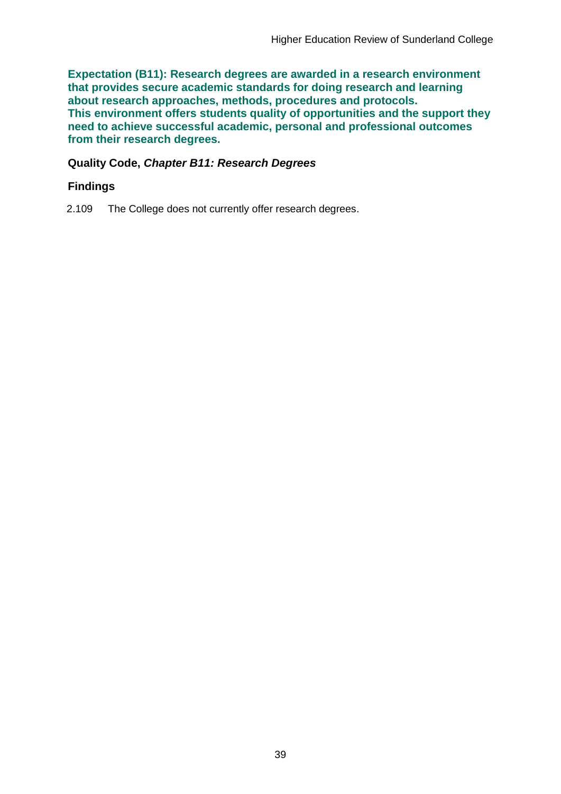**Expectation (B11): Research degrees are awarded in a research environment that provides secure academic standards for doing research and learning about research approaches, methods, procedures and protocols. This environment offers students quality of opportunities and the support they need to achieve successful academic, personal and professional outcomes from their research degrees.**

### **Quality Code,** *Chapter B11: Research Degrees*

### **Findings**

2.109 The College does not currently offer research degrees.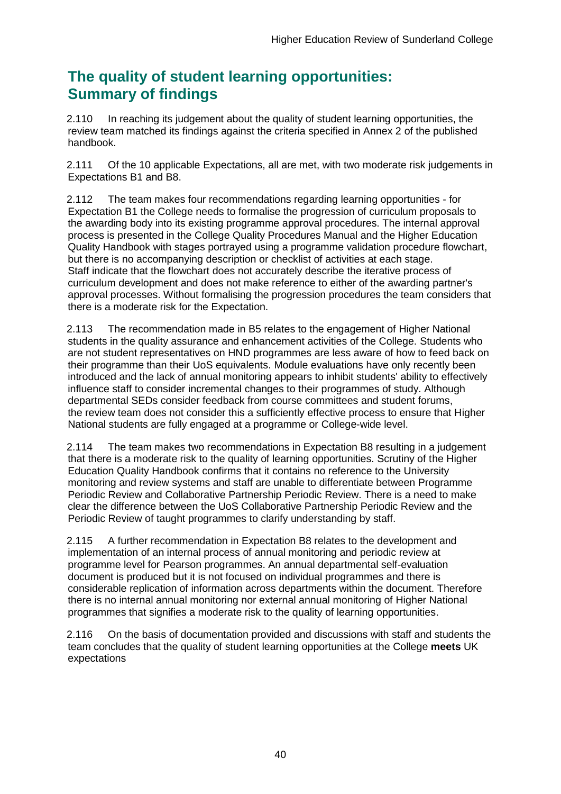## **The quality of student learning opportunities: Summary of findings**

2.110 In reaching its judgement about the quality of student learning opportunities, the review team matched its findings against the criteria specified in Annex 2 of the published handbook.

2.111 Of the 10 applicable Expectations, all are met, with two moderate risk judgements in Expectations B1 and B8.

2.112 The team makes four recommendations regarding learning opportunities - for Expectation B1 the College needs to formalise the progression of curriculum proposals to the awarding body into its existing programme approval procedures. The internal approval process is presented in the College Quality Procedures Manual and the Higher Education Quality Handbook with stages portrayed using a programme validation procedure flowchart, but there is no accompanying description or checklist of activities at each stage. Staff indicate that the flowchart does not accurately describe the iterative process of curriculum development and does not make reference to either of the awarding partner's approval processes. Without formalising the progression procedures the team considers that there is a moderate risk for the Expectation.

2.113 The recommendation made in B5 relates to the engagement of Higher National students in the quality assurance and enhancement activities of the College. Students who are not student representatives on HND programmes are less aware of how to feed back on their programme than their UoS equivalents. Module evaluations have only recently been introduced and the lack of annual monitoring appears to inhibit students' ability to effectively influence staff to consider incremental changes to their programmes of study. Although departmental SEDs consider feedback from course committees and student forums, the review team does not consider this a sufficiently effective process to ensure that Higher National students are fully engaged at a programme or College-wide level.

2.114 The team makes two recommendations in Expectation B8 resulting in a judgement that there is a moderate risk to the quality of learning opportunities. Scrutiny of the Higher Education Quality Handbook confirms that it contains no reference to the University monitoring and review systems and staff are unable to differentiate between Programme Periodic Review and Collaborative Partnership Periodic Review. There is a need to make clear the difference between the UoS Collaborative Partnership Periodic Review and the Periodic Review of taught programmes to clarify understanding by staff.

2.115 A further recommendation in Expectation B8 relates to the development and implementation of an internal process of annual monitoring and periodic review at programme level for Pearson programmes. An annual departmental self-evaluation document is produced but it is not focused on individual programmes and there is considerable replication of information across departments within the document. Therefore there is no internal annual monitoring nor external annual monitoring of Higher National programmes that signifies a moderate risk to the quality of learning opportunities.

2.116 On the basis of documentation provided and discussions with staff and students the team concludes that the quality of student learning opportunities at the College **meets** UK expectations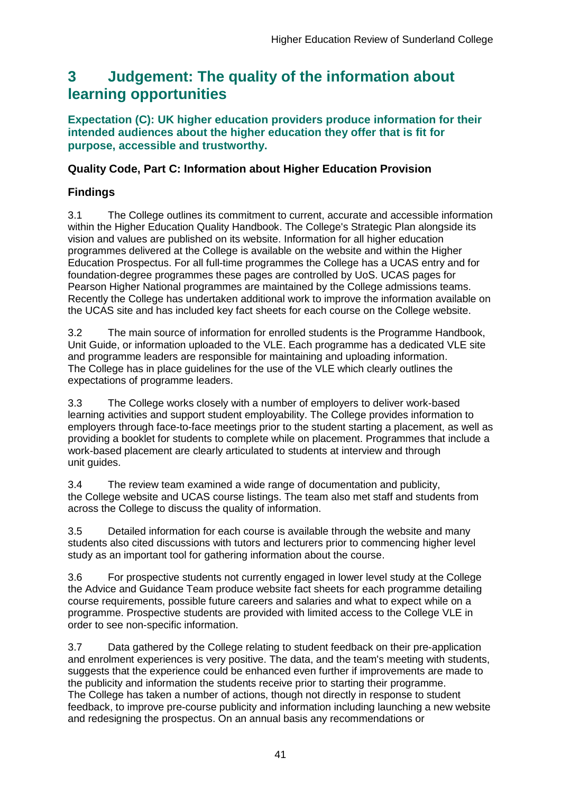## <span id="page-41-0"></span>**3 Judgement: The quality of the information about learning opportunities**

### **Expectation (C): UK higher education providers produce information for their intended audiences about the higher education they offer that is fit for purpose, accessible and trustworthy.**

## **Quality Code, Part C: Information about Higher Education Provision**

## **Findings**

3.1 The College outlines its commitment to current, accurate and accessible information within the Higher Education Quality Handbook. The College's Strategic Plan alongside its vision and values are published on its website. Information for all higher education programmes delivered at the College is available on the website and within the Higher Education Prospectus. For all full-time programmes the College has a UCAS entry and for foundation-degree programmes these pages are controlled by UoS. UCAS pages for Pearson Higher National programmes are maintained by the College admissions teams. Recently the College has undertaken additional work to improve the information available on the UCAS site and has included key fact sheets for each course on the College website.

3.2 The main source of information for enrolled students is the Programme Handbook, Unit Guide, or information uploaded to the VLE. Each programme has a dedicated VLE site and programme leaders are responsible for maintaining and uploading information. The College has in place guidelines for the use of the VLE which clearly outlines the expectations of programme leaders.

3.3 The College works closely with a number of employers to deliver work-based learning activities and support student employability. The College provides information to employers through face-to-face meetings prior to the student starting a placement, as well as providing a booklet for students to complete while on placement. Programmes that include a work-based placement are clearly articulated to students at interview and through unit quides.

3.4 The review team examined a wide range of documentation and publicity, the College website and UCAS course listings. The team also met staff and students from across the College to discuss the quality of information.

3.5 Detailed information for each course is available through the website and many students also cited discussions with tutors and lecturers prior to commencing higher level study as an important tool for gathering information about the course.

3.6 For prospective students not currently engaged in lower level study at the College the Advice and Guidance Team produce website fact sheets for each programme detailing course requirements, possible future careers and salaries and what to expect while on a programme. Prospective students are provided with limited access to the College VLE in order to see non-specific information.

3.7 Data gathered by the College relating to student feedback on their pre-application and enrolment experiences is very positive. The data, and the team's meeting with students, suggests that the experience could be enhanced even further if improvements are made to the publicity and information the students receive prior to starting their programme. The College has taken a number of actions, though not directly in response to student feedback, to improve pre-course publicity and information including launching a new website and redesigning the prospectus. On an annual basis any recommendations or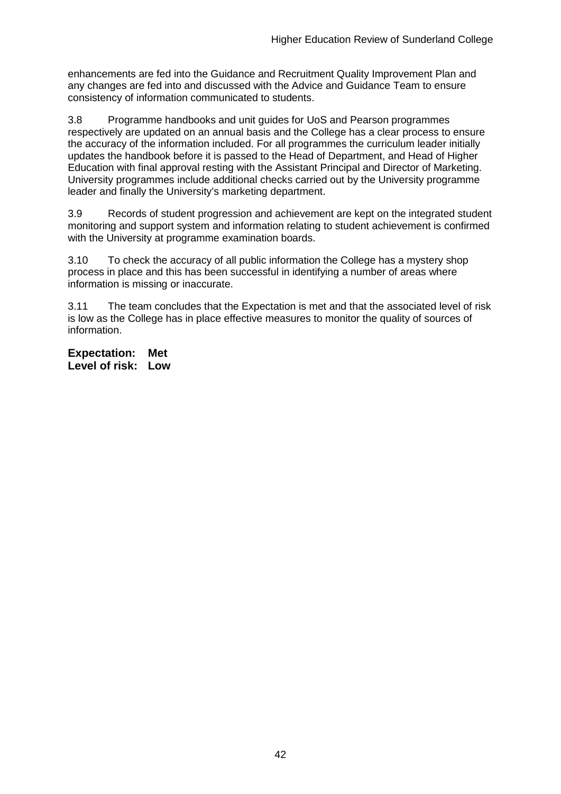enhancements are fed into the Guidance and Recruitment Quality Improvement Plan and any changes are fed into and discussed with the Advice and Guidance Team to ensure consistency of information communicated to students.

3.8 Programme handbooks and unit guides for UoS and Pearson programmes respectively are updated on an annual basis and the College has a clear process to ensure the accuracy of the information included. For all programmes the curriculum leader initially updates the handbook before it is passed to the Head of Department, and Head of Higher Education with final approval resting with the Assistant Principal and Director of Marketing. University programmes include additional checks carried out by the University programme leader and finally the University's marketing department.

3.9 Records of student progression and achievement are kept on the integrated student monitoring and support system and information relating to student achievement is confirmed with the University at programme examination boards.

3.10 To check the accuracy of all public information the College has a mystery shop process in place and this has been successful in identifying a number of areas where information is missing or inaccurate.

3.11 The team concludes that the Expectation is met and that the associated level of risk is low as the College has in place effective measures to monitor the quality of sources of information.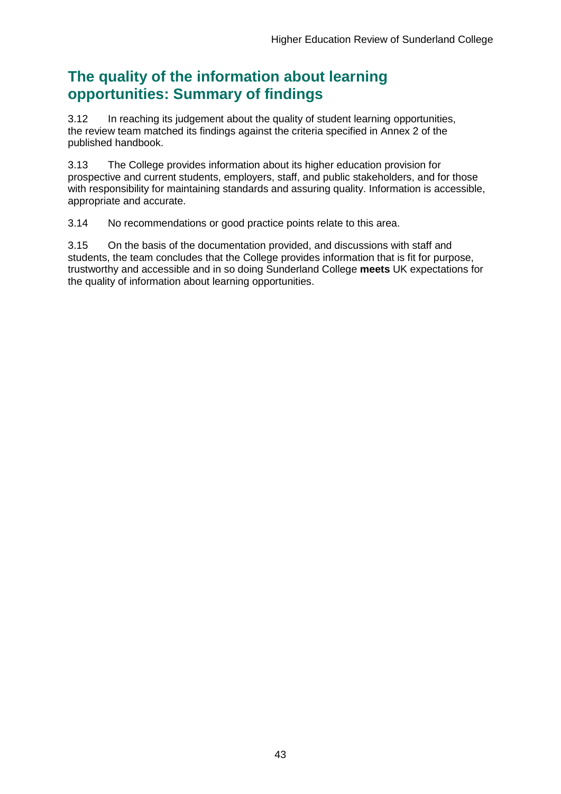## **The quality of the information about learning opportunities: Summary of findings**

3.12 In reaching its judgement about the quality of student learning opportunities, the review team matched its findings against the criteria specified in Annex 2 of the published handbook.

3.13 The College provides information about its higher education provision for prospective and current students, employers, staff, and public stakeholders, and for those with responsibility for maintaining standards and assuring quality. Information is accessible, appropriate and accurate.

3.14 No recommendations or good practice points relate to this area.

3.15 On the basis of the documentation provided, and discussions with staff and students, the team concludes that the College provides information that is fit for purpose, trustworthy and accessible and in so doing Sunderland College **meets** UK expectations for the quality of information about learning opportunities.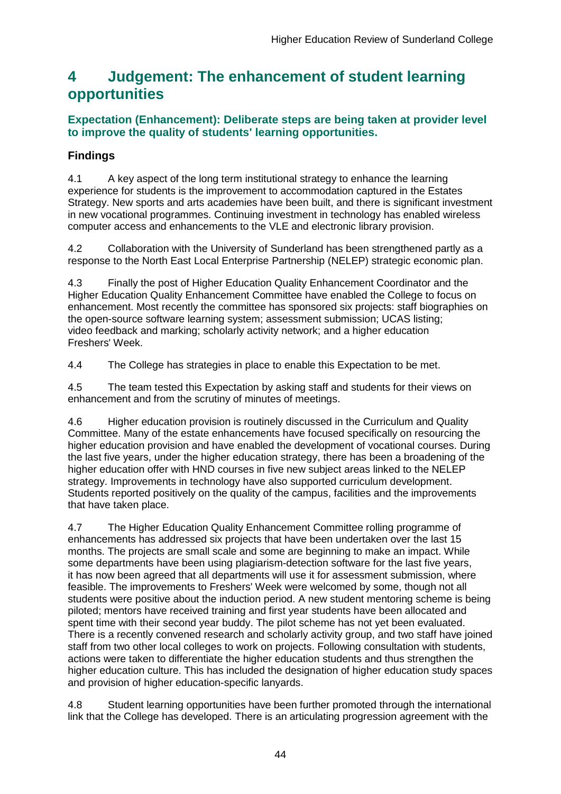## <span id="page-44-0"></span>**4 Judgement: The enhancement of student learning opportunities**

## **Expectation (Enhancement): Deliberate steps are being taken at provider level to improve the quality of students' learning opportunities.**

## **Findings**

4.1 A key aspect of the long term institutional strategy to enhance the learning experience for students is the improvement to accommodation captured in the Estates Strategy. New sports and arts academies have been built, and there is significant investment in new vocational programmes. Continuing investment in technology has enabled wireless computer access and enhancements to the VLE and electronic library provision.

4.2 Collaboration with the University of Sunderland has been strengthened partly as a response to the North East Local Enterprise Partnership (NELEP) strategic economic plan.

4.3 Finally the post of Higher Education Quality Enhancement Coordinator and the Higher Education Quality Enhancement Committee have enabled the College to focus on enhancement. Most recently the committee has sponsored six projects: staff biographies on the open-source software learning system; assessment submission; UCAS listing; video feedback and marking; scholarly activity network; and a higher education Freshers' Week.

4.4 The College has strategies in place to enable this Expectation to be met.

4.5 The team tested this Expectation by asking staff and students for their views on enhancement and from the scrutiny of minutes of meetings.

4.6 Higher education provision is routinely discussed in the Curriculum and Quality Committee. Many of the estate enhancements have focused specifically on resourcing the higher education provision and have enabled the development of vocational courses. During the last five years, under the higher education strategy, there has been a broadening of the higher education offer with HND courses in five new subject areas linked to the NELEP strategy. Improvements in technology have also supported curriculum development. Students reported positively on the quality of the campus, facilities and the improvements that have taken place.

4.7 The Higher Education Quality Enhancement Committee rolling programme of enhancements has addressed six projects that have been undertaken over the last 15 months. The projects are small scale and some are beginning to make an impact. While some departments have been using plagiarism-detection software for the last five years, it has now been agreed that all departments will use it for assessment submission, where feasible. The improvements to Freshers' Week were welcomed by some, though not all students were positive about the induction period. A new student mentoring scheme is being piloted; mentors have received training and first year students have been allocated and spent time with their second year buddy. The pilot scheme has not yet been evaluated. There is a recently convened research and scholarly activity group, and two staff have joined staff from two other local colleges to work on projects. Following consultation with students, actions were taken to differentiate the higher education students and thus strengthen the higher education culture. This has included the designation of higher education study spaces and provision of higher education-specific lanyards.

4.8 Student learning opportunities have been further promoted through the international link that the College has developed. There is an articulating progression agreement with the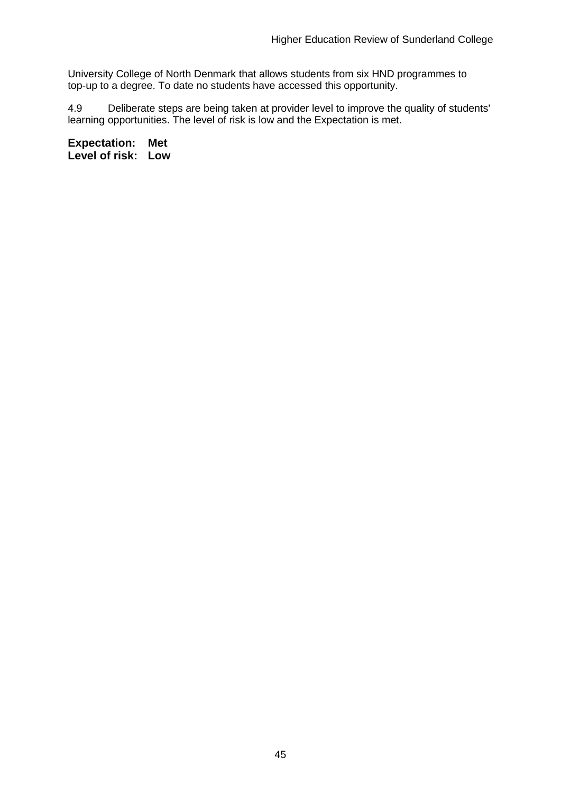University College of North Denmark that allows students from six HND programmes to top-up to a degree. To date no students have accessed this opportunity.

4.9 Deliberate steps are being taken at provider level to improve the quality of students' learning opportunities. The level of risk is low and the Expectation is met.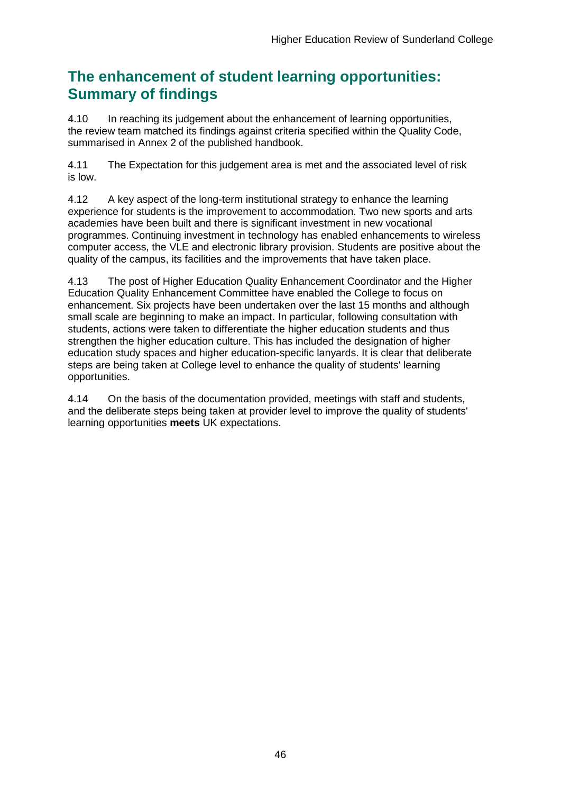## **The enhancement of student learning opportunities: Summary of findings**

4.10 In reaching its judgement about the enhancement of learning opportunities, the review team matched its findings against criteria specified within the Quality Code, summarised in Annex 2 of the published handbook.

4.11 The Expectation for this judgement area is met and the associated level of risk is low.

4.12 A key aspect of the long-term institutional strategy to enhance the learning experience for students is the improvement to accommodation. Two new sports and arts academies have been built and there is significant investment in new vocational programmes. Continuing investment in technology has enabled enhancements to wireless computer access, the VLE and electronic library provision. Students are positive about the quality of the campus, its facilities and the improvements that have taken place.

4.13 The post of Higher Education Quality Enhancement Coordinator and the Higher Education Quality Enhancement Committee have enabled the College to focus on enhancement. Six projects have been undertaken over the last 15 months and although small scale are beginning to make an impact. In particular, following consultation with students, actions were taken to differentiate the higher education students and thus strengthen the higher education culture. This has included the designation of higher education study spaces and higher education-specific lanyards. It is clear that deliberate steps are being taken at College level to enhance the quality of students' learning opportunities.

4.14 On the basis of the documentation provided, meetings with staff and students, and the deliberate steps being taken at provider level to improve the quality of students' learning opportunities **meets** UK expectations.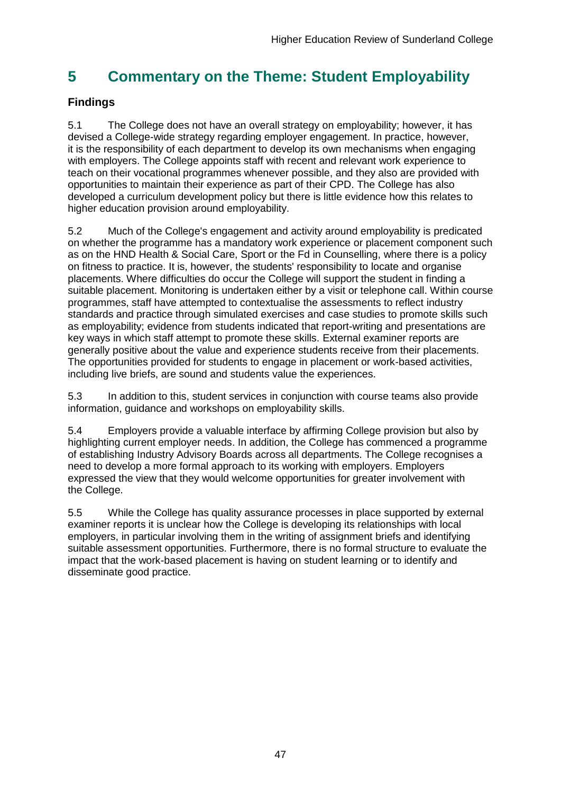## <span id="page-47-0"></span>**5 Commentary on the Theme: Student Employability**

## **Findings**

5.1 The College does not have an overall strategy on employability; however, it has devised a College-wide strategy regarding employer engagement. In practice, however, it is the responsibility of each department to develop its own mechanisms when engaging with employers. The College appoints staff with recent and relevant work experience to teach on their vocational programmes whenever possible, and they also are provided with opportunities to maintain their experience as part of their CPD. The College has also developed a curriculum development policy but there is little evidence how this relates to higher education provision around employability.

5.2 Much of the College's engagement and activity around employability is predicated on whether the programme has a mandatory work experience or placement component such as on the HND Health & Social Care, Sport or the Fd in Counselling, where there is a policy on fitness to practice. It is, however, the students' responsibility to locate and organise placements. Where difficulties do occur the College will support the student in finding a suitable placement. Monitoring is undertaken either by a visit or telephone call. Within course programmes, staff have attempted to contextualise the assessments to reflect industry standards and practice through simulated exercises and case studies to promote skills such as employability; evidence from students indicated that report-writing and presentations are key ways in which staff attempt to promote these skills. External examiner reports are generally positive about the value and experience students receive from their placements. The opportunities provided for students to engage in placement or work-based activities, including live briefs, are sound and students value the experiences.

5.3 In addition to this, student services in conjunction with course teams also provide information, guidance and workshops on employability skills.

5.4 Employers provide a valuable interface by affirming College provision but also by highlighting current employer needs. In addition, the College has commenced a programme of establishing Industry Advisory Boards across all departments. The College recognises a need to develop a more formal approach to its working with employers. Employers expressed the view that they would welcome opportunities for greater involvement with the College.

<span id="page-47-1"></span>5.5 While the College has quality assurance processes in place supported by external examiner reports it is unclear how the College is developing its relationships with local employers, in particular involving them in the writing of assignment briefs and identifying suitable assessment opportunities. Furthermore, there is no formal structure to evaluate the impact that the work-based placement is having on student learning or to identify and disseminate good practice.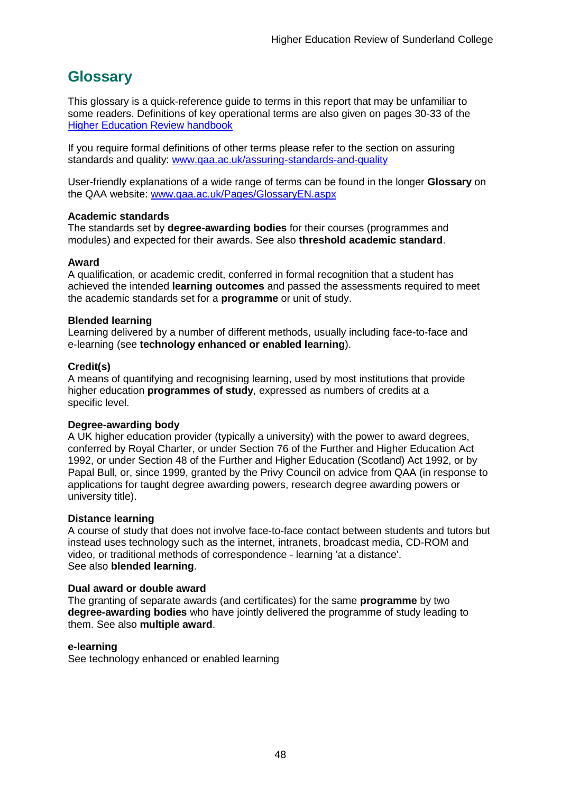## <span id="page-48-0"></span>**Glossary**

This glossary is a quick-reference guide to terms in this report that may be unfamiliar to some readers. Definitions of key operational terms are also given on pages 30-33 of the [Higher Education Review handbook](http://www.qaa.ac.uk/publications/information-and-guidance/publication/?PubID=2963)

If you require formal definitions of other terms please refer to the section on assuring standards and quality: [www.qaa.ac.uk/assuring-standards-and-quality](http://www.qaa.ac.uk/assuring-standards-and-quality)

User-friendly explanations of a wide range of terms can be found in the longer **Glossary** on the QAA website: [www.qaa.ac.uk/Pages/GlossaryEN.aspx](http://www.qaa.ac.uk/Pages/GlossaryEN.aspx)

#### **Academic standards**

The standards set by **degree-awarding bodies** for their courses (programmes and modules) and expected for their awards. See also **threshold academic standard**.

#### **Award**

A qualification, or academic credit, conferred in formal recognition that a student has achieved the intended **learning outcomes** and passed the assessments required to meet the academic standards set for a **programme** or unit of study.

#### **Blended learning**

Learning delivered by a number of different methods, usually including face-to-face and e-learning (see **[technology enhanced or enabled learning](http://www.qaa.ac.uk/AboutUs/glossary/Pages/glossary-t.aspx#t1)**).

#### **Credit(s)**

A means of quantifying and recognising learning, used by most institutions that provide higher education **programmes of study**, expressed as numbers of credits at a specific level.

#### **Degree-awarding body**

A UK [higher education provider](http://newlive.qaa.ac.uk/AboutUs/glossary/Pages/glossary-h.aspx#h2.1) (typically a [university\)](http://newlive.qaa.ac.uk/AboutUs/glossary/Pages/glossary-u-z.aspx#u4) with the power to award degrees, conferred by Royal Charter, or under Section 76 of the Further and Higher Education Act 1992, or under Section 48 of the Further and Higher Education (Scotland) Act 1992, or by Papal Bull, or, since 1999, granted by the Privy Council on advice from QAA (in response to applications for [taught degree awarding powers, research degree awarding powers or](http://newlive.qaa.ac.uk/AboutUs/DAP/Pages/default.aspx)  [university title\)](http://newlive.qaa.ac.uk/AboutUs/DAP/Pages/default.aspx).

#### **Distance learning**

A course of study that does not involve face-to-face contact between students and tutors but instead uses technology such as the internet, intranets, broadcast media, CD-ROM and video, or traditional methods of correspondence - learning 'at a distance'. See also **blended learning**.

#### **Dual award or double award**

The granting of separate awards (and certificates) for the same **programme** by two **degree-awarding bodies** who have jointly delivered the programme of study leading to them. See also **multiple award**.

#### **e-learning**

See technology enhanced or enabled learning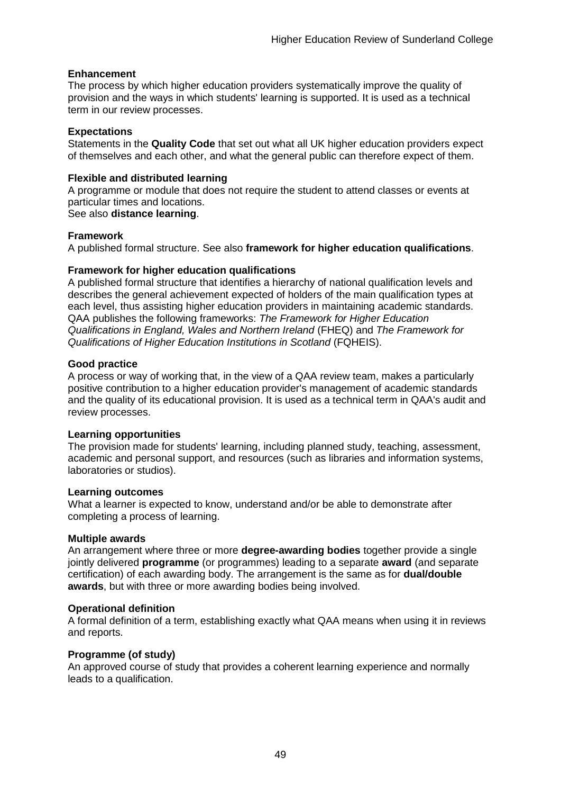#### **Enhancement**

The process by which [higher education providers](http://www.qaa.ac.uk/AboutUs/glossary/Pages/glossary-h.aspx#h2.1) systematically improve the quality of provision and the ways in which students' learning is supported. It is used as a technical term in our review processes.

#### **Expectations**

Statements in the **Quality Code** that set out what all UK [higher education providers](http://newlive.qaa.ac.uk/AboutUs/glossary/Pages/glossary-h.aspx#h2.1) expect of themselves and each other, and what the general public can therefore expect of them.

#### **Flexible and distributed learning**

A [programme](http://newlive.qaa.ac.uk/AboutUs/glossary/Pages/glossary-p.aspx#p12) or [module](http://newlive.qaa.ac.uk/AboutUs/glossary/Pages/glossary-m-o.aspx#m6) that does not require the student to attend classes or events at particular times and locations.

See also **distance learning**.

#### **Framework**

A published formal structure. See also **framework for higher education qualifications**.

#### **Framework for higher education qualifications**

A published formal structure that identifies a hierarchy of national qualification levels and describes the general achievement expected of holders of the main qualification types at each level, thus assisting higher education providers in maintaining academic standards. QAA publishes the following frameworks: *The Framework for Higher Education Qualifications in England, Wales and Northern Ireland* (FHEQ) and *The Framework for Qualifications of Higher Education Institutions in Scotland* (FQHEIS).

#### **Good practice**

A process or way of working that, in the view of a QAA review team, makes a particularly positive contribution to a higher education provider's management of academic standards and the quality of its educational provision. It is used as a technical term in QAA's audit and review processes.

#### **Learning opportunities**

The provision made for students' learning, including planned study, teaching, assessment, academic and personal support, and resources (such as libraries and information systems, laboratories or studios).

#### **Learning outcomes**

What a learner is expected to know, understand and/or be able to demonstrate after completing a process of learning.

#### **Multiple awards**

An arrangement where three or more **degree-awarding bodies** together provide a single jointly delivered **programme** (or programmes) leading to a separate **award** (and separate certification) of each awarding body. The arrangement is the same as for **dual/double awards**, but with three or more awarding bodies being involved.

#### **Operational definition**

A formal definition of a term, establishing exactly what QAA means when using it in reviews and reports.

#### **Programme (of study)**

An approved course of study that provides a coherent learning experience and normally leads to a qualification.